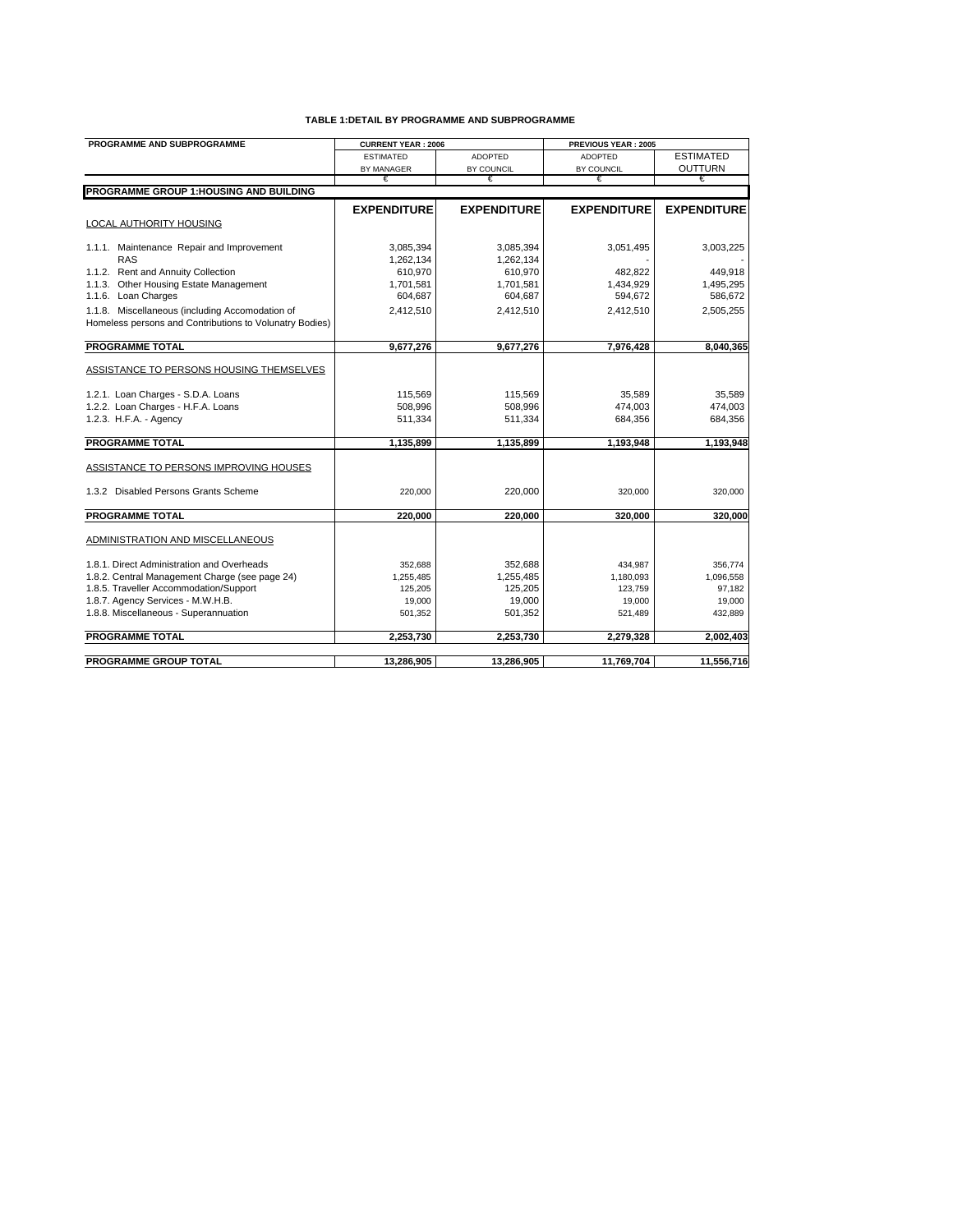| PROGRAMME AND SUBPROGRAMME                              | <b>CURRENT YEAR: 2006</b> |                    | PREVIOUS YEAR: 2005 |                    |
|---------------------------------------------------------|---------------------------|--------------------|---------------------|--------------------|
|                                                         | <b>ESTIMATED</b>          | <b>ADOPTED</b>     | <b>ADOPTED</b>      | <b>ESTIMATED</b>   |
|                                                         | BY MANAGER                | BY COUNCIL         | BY COUNCIL          | OUTTURN            |
|                                                         | €                         | €                  | €                   | €                  |
| PROGRAMME GROUP 1: HOUSING AND BUILDING                 |                           |                    |                     |                    |
|                                                         | <b>EXPENDITURE</b>        | <b>EXPENDITURE</b> | <b>EXPENDITURE</b>  | <b>EXPENDITURE</b> |
| LOCAL AUTHORITY HOUSING                                 |                           |                    |                     |                    |
|                                                         |                           |                    |                     |                    |
| 1.1.1. Maintenance Repair and Improvement               | 3,085,394                 | 3,085,394          | 3,051,495           | 3,003,225          |
| <b>RAS</b>                                              | 1,262,134                 | 1,262,134          |                     |                    |
| 1.1.2. Rent and Annuity Collection                      | 610,970                   | 610,970            | 482,822             | 449,918            |
| 1.1.3. Other Housing Estate Management                  | 1,701,581                 | 1,701,581          | 1,434,929           | 1,495,295          |
| 1.1.6. Loan Charges                                     | 604,687                   | 604,687            | 594,672             | 586,672            |
| 1.1.8. Miscellaneous (including Accomodation of         | 2,412,510                 | 2,412,510          | 2,412,510           | 2,505,255          |
| Homeless persons and Contributions to Volunatry Bodies) |                           |                    |                     |                    |
|                                                         |                           |                    |                     |                    |
| <b>PROGRAMME TOTAL</b>                                  | 9,677,276                 | 9,677,276          | 7,976,428           | 8,040,365          |
| ASSISTANCE TO PERSONS HOUSING THEMSELVES                |                           |                    |                     |                    |
|                                                         |                           |                    |                     |                    |
| 1.2.1. Loan Charges - S.D.A. Loans                      | 115,569                   | 115,569            | 35,589              | 35,589             |
| 1.2.2. Loan Charges - H.F.A. Loans                      | 508,996                   | 508,996            | 474,003             | 474,003            |
| 1.2.3. H.F.A. - Agency                                  | 511,334                   | 511,334            | 684,356             | 684,356            |
|                                                         |                           |                    |                     |                    |
| <b>PROGRAMME TOTAL</b>                                  | 1,135,899                 | 1,135,899          | 1,193,948           | 1,193,948          |
|                                                         |                           |                    |                     |                    |
| ASSISTANCE TO PERSONS IMPROVING HOUSES                  |                           |                    |                     |                    |
|                                                         |                           |                    |                     |                    |
| 1.3.2 Disabled Persons Grants Scheme                    | 220,000                   | 220,000            | 320,000             | 320,000            |
| <b>PROGRAMME TOTAL</b>                                  | 220,000                   | 220,000            | 320,000             | 320,000            |
|                                                         |                           |                    |                     |                    |
| ADMINISTRATION AND MISCELLANEOUS                        |                           |                    |                     |                    |
|                                                         |                           |                    |                     |                    |
| 1.8.1. Direct Administration and Overheads              | 352,688                   | 352,688            | 434,987             | 356,774            |
| 1.8.2. Central Management Charge (see page 24)          | 1,255,485                 | 1,255,485          | 1,180,093           | 1,096,558          |
| 1.8.5. Traveller Accommodation/Support                  | 125,205                   | 125,205            | 123,759             | 97,182             |
| 1.8.7. Agency Services - M.W.H.B.                       | 19,000                    | 19,000             | 19,000              | 19,000             |
| 1.8.8. Miscellaneous - Superannuation                   | 501,352                   | 501,352            | 521,489             | 432,889            |
|                                                         |                           |                    |                     |                    |
| <b>PROGRAMME TOTAL</b>                                  | 2,253,730                 | 2,253,730          | 2,279,328           | 2,002,403          |
|                                                         |                           |                    |                     |                    |
| <b>PROGRAMME GROUP TOTAL</b>                            | 13.286.905                | 13.286.905         | 11.769.704          | 11,556,716         |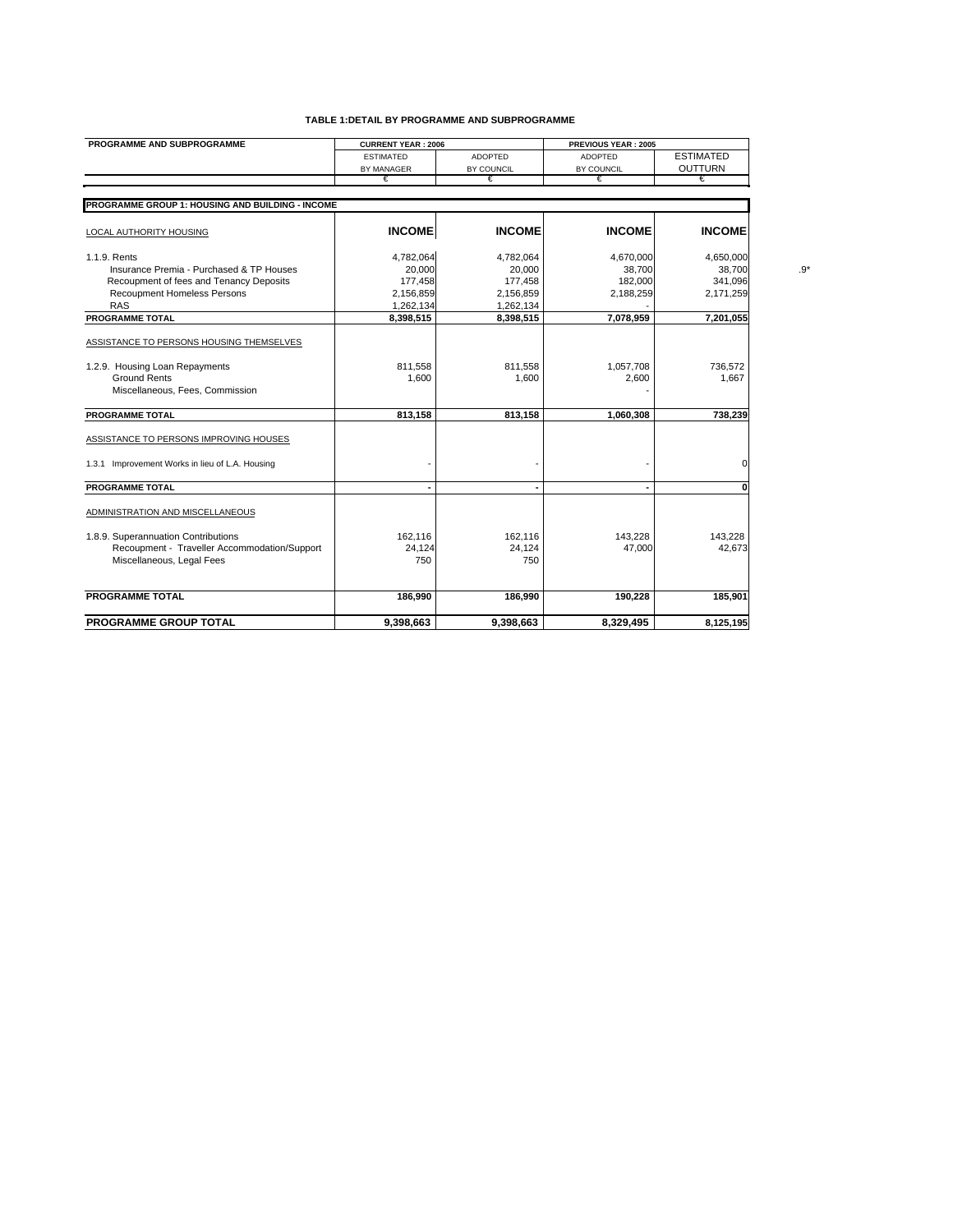| PROGRAMME AND SUBPROGRAMME                       | <b>CURRENT YEAR: 2006</b> |                | PREVIOUS YEAR: 2005 |                  |  |
|--------------------------------------------------|---------------------------|----------------|---------------------|------------------|--|
|                                                  | <b>ESTIMATED</b>          | <b>ADOPTED</b> | <b>ADOPTED</b>      | <b>ESTIMATED</b> |  |
|                                                  | BY MANAGER                | BY COUNCIL     | BY COUNCIL          | <b>OUTTURN</b>   |  |
|                                                  | €                         | €              | €                   | €                |  |
| PROGRAMME GROUP 1: HOUSING AND BUILDING - INCOME |                           |                |                     |                  |  |
|                                                  |                           |                |                     |                  |  |
| LOCAL AUTHORITY HOUSING                          | <b>INCOME</b>             | <b>INCOME</b>  | <b>INCOME</b>       | <b>INCOME</b>    |  |
| 1.1.9. Rents                                     | 4,782,064                 | 4,782,064      | 4,670,000           | 4,650,000        |  |
| Insurance Premia - Purchased & TP Houses         | 20,000                    | 20,000         | 38,700              | 38,700           |  |
| Recoupment of fees and Tenancy Deposits          | 177,458                   | 177,458        | 182,000             | 341,096          |  |
| Recoupment Homeless Persons                      | 2,156,859                 | 2,156,859      | 2,188,259           | 2,171,259        |  |
| <b>RAS</b>                                       | 1,262,134                 | 1,262,134      |                     |                  |  |
| <b>PROGRAMME TOTAL</b>                           | 8,398,515                 | 8,398,515      | 7,078,959           | 7,201,055        |  |
| ASSISTANCE TO PERSONS HOUSING THEMSELVES         |                           |                |                     |                  |  |
| 1.2.9. Housing Loan Repayments                   | 811,558                   | 811,558        | 1,057,708           | 736,572          |  |
| <b>Ground Rents</b>                              | 1,600                     | 1,600          | 2,600               | 1,667            |  |
| Miscellaneous, Fees, Commission                  |                           |                |                     |                  |  |
|                                                  |                           |                |                     |                  |  |
| <b>PROGRAMME TOTAL</b>                           | 813,158                   | 813,158        | 1,060,308           | 738,239          |  |
| ASSISTANCE TO PERSONS IMPROVING HOUSES           |                           |                |                     |                  |  |
| 1.3.1 Improvement Works in lieu of L.A. Housing  |                           |                |                     | 0                |  |
| <b>PROGRAMME TOTAL</b>                           |                           |                |                     | O                |  |
| ADMINISTRATION AND MISCELLANEOUS                 |                           |                |                     |                  |  |
| 1.8.9. Superannuation Contributions              | 162,116                   | 162,116        | 143,228             | 143,228          |  |
| Recoupment - Traveller Accommodation/Support     | 24,124                    | 24,124         | 47,000              | 42,673           |  |
| Miscellaneous, Legal Fees                        | 750                       | 750            |                     |                  |  |
|                                                  |                           |                |                     |                  |  |
| <b>PROGRAMME TOTAL</b>                           | 186,990                   | 186,990        | 190,228             | 185,901          |  |
|                                                  |                           |                |                     |                  |  |
| <b>PROGRAMME GROUP TOTAL</b>                     | 9.398.663                 | 9.398.663      | 8.329.495           | 8.125.195        |  |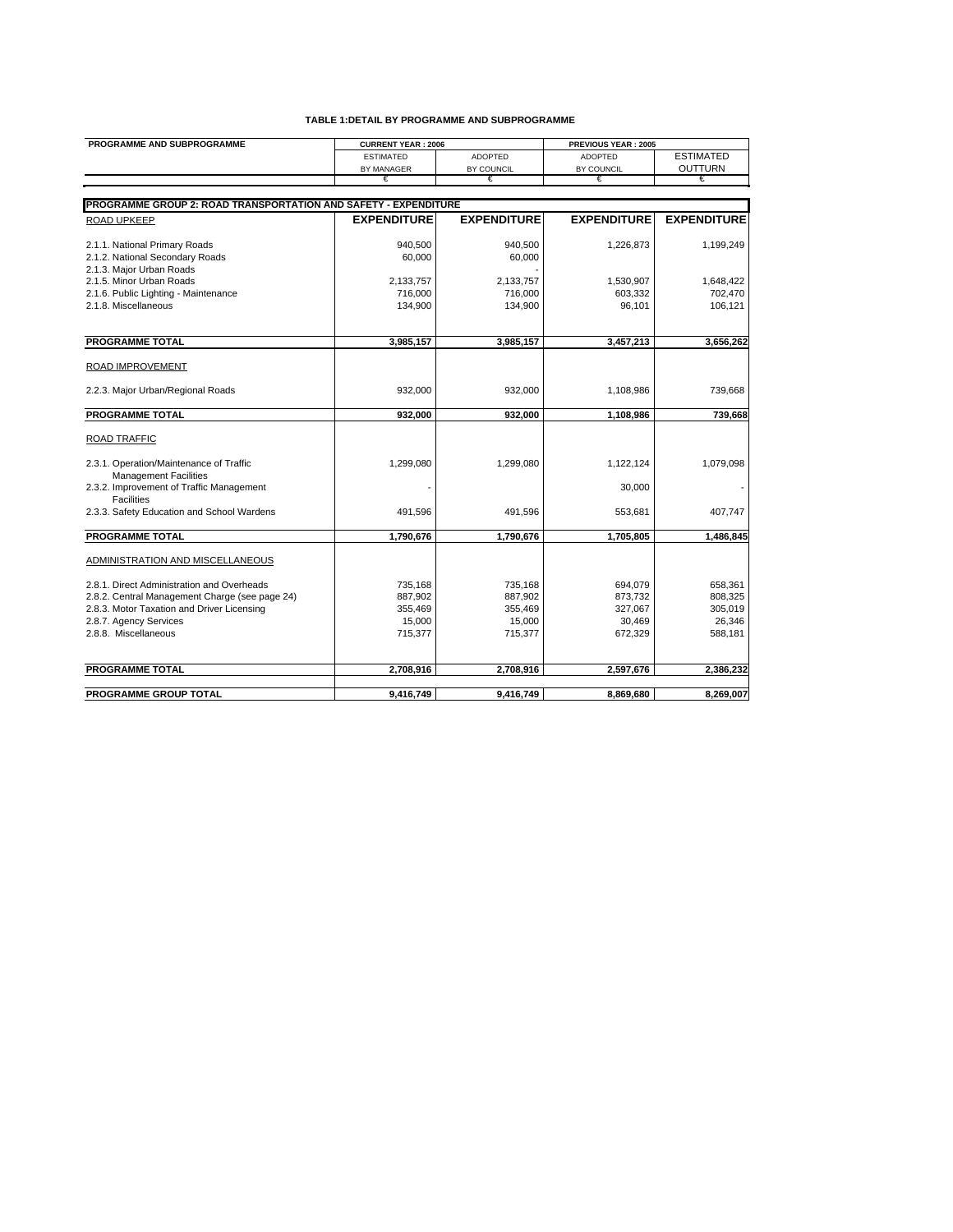| PROGRAMME AND SUBPROGRAMME                                               | <b>CURRENT YEAR: 2006</b> |                    | PREVIOUS YEAR: 2005 |                    |
|--------------------------------------------------------------------------|---------------------------|--------------------|---------------------|--------------------|
|                                                                          | <b>ESTIMATED</b>          | <b>ADOPTED</b>     | ADOPTED             | <b>ESTIMATED</b>   |
|                                                                          | BY MANAGER                | BY COUNCIL         | BY COUNCIL          | OUTTURN            |
|                                                                          | €                         | €                  | €                   | €                  |
|                                                                          |                           |                    |                     |                    |
| PROGRAMME GROUP 2: ROAD TRANSPORTATION AND SAFETY - EXPENDITURE          |                           |                    |                     |                    |
| <b>ROAD UPKEEP</b>                                                       | <b>EXPENDITURE</b>        | <b>EXPENDITURE</b> | <b>EXPENDITURE</b>  | <b>EXPENDITURE</b> |
| 2.1.1. National Primary Roads                                            | 940.500                   | 940.500            | 1,226,873           | 1.199.249          |
| 2.1.2. National Secondary Roads                                          | 60.000                    | 60,000             |                     |                    |
| 2.1.3. Major Urban Roads                                                 |                           |                    |                     |                    |
| 2.1.5. Minor Urban Roads                                                 | 2,133,757                 | 2,133,757          | 1,530,907           | 1,648,422          |
| 2.1.6. Public Lighting - Maintenance                                     | 716,000                   | 716,000            | 603,332             | 702,470            |
| 2.1.8. Miscellaneous                                                     | 134,900                   | 134,900            | 96,101              | 106,121            |
| <b>PROGRAMME TOTAL</b>                                                   |                           |                    |                     |                    |
|                                                                          | 3,985,157                 | 3,985,157          | 3,457,213           | 3,656,262          |
| ROAD IMPROVEMENT                                                         |                           |                    |                     |                    |
| 2.2.3. Major Urban/Regional Roads                                        | 932,000                   | 932,000            | 1,108,986           | 739,668            |
| <b>PROGRAMME TOTAL</b>                                                   | 932,000                   | 932,000            | 1,108,986           | 739,668            |
| <b>ROAD TRAFFIC</b>                                                      |                           |                    |                     |                    |
| 2.3.1. Operation/Maintenance of Traffic                                  | 1,299,080                 | 1,299,080          | 1,122,124           | 1,079,098          |
| <b>Management Facilities</b><br>2.3.2. Improvement of Traffic Management |                           |                    | 30,000              |                    |
| <b>Facilities</b><br>2.3.3. Safety Education and School Wardens          | 491.596                   | 491.596            | 553,681             | 407,747            |
| <b>PROGRAMME TOTAL</b>                                                   | 1,790,676                 | 1,790,676          | 1,705,805           | 1,486,845          |
|                                                                          |                           |                    |                     |                    |
| ADMINISTRATION AND MISCELLANEOUS                                         |                           |                    |                     |                    |
| 2.8.1. Direct Administration and Overheads                               | 735,168                   | 735,168            | 694,079             | 658,361            |
| 2.8.2. Central Management Charge (see page 24)                           | 887,902                   | 887,902            | 873,732             | 808,325            |
| 2.8.3. Motor Taxation and Driver Licensing                               | 355,469                   | 355,469            | 327,067             | 305,019            |
| 2.8.7. Agency Services                                                   | 15,000                    | 15,000             | 30,469              | 26,346             |
| 2.8.8. Miscellaneous                                                     | 715,377                   | 715,377            | 672,329             | 588,181            |
|                                                                          |                           |                    |                     |                    |
| <b>PROGRAMME TOTAL</b>                                                   | 2,708,916                 | 2,708,916          | 2,597,676           | 2,386,232          |
|                                                                          |                           |                    |                     |                    |
| PROGRAMME GROUP TOTAL                                                    | 9,416,749                 | 9,416,749          | 8,869,680           | 8,269,007          |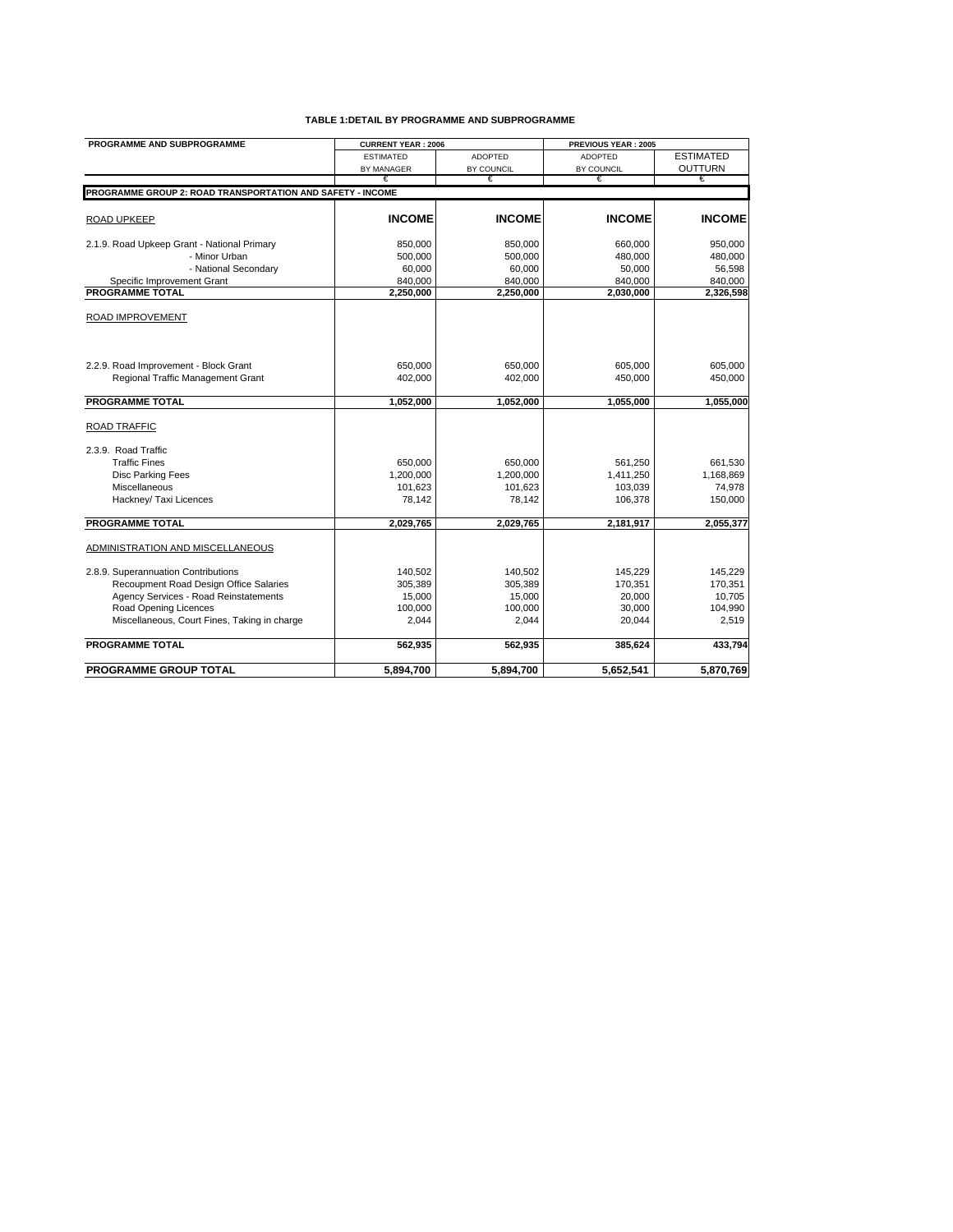| PROGRAMME AND SUBPROGRAMME                                 | <b>CURRENT YEAR: 2006</b> |                | PREVIOUS YEAR: 2005 |                  |
|------------------------------------------------------------|---------------------------|----------------|---------------------|------------------|
|                                                            | <b>ESTIMATED</b>          | <b>ADOPTED</b> | <b>ADOPTED</b>      | <b>ESTIMATED</b> |
|                                                            | <b>BY MANAGER</b>         | BY COUNCIL     | BY COUNCIL          | <b>OUTTURN</b>   |
|                                                            | €                         | €              | €                   | €                |
| PROGRAMME GROUP 2: ROAD TRANSPORTATION AND SAFETY - INCOME |                           |                |                     |                  |
| <b>ROAD UPKEEP</b>                                         | <b>INCOME</b>             | <b>INCOME</b>  | <b>INCOME</b>       | <b>INCOME</b>    |
| 2.1.9. Road Upkeep Grant - National Primary                | 850,000                   | 850,000        | 660,000             | 950,000          |
| - Minor Urban                                              | 500.000                   | 500,000        | 480,000             | 480,000          |
| - National Secondary                                       | 60,000                    | 60,000         | 50,000              | 56,598           |
| Specific Improvement Grant                                 | 840,000                   | 840,000        | 840,000             | 840,000          |
| <b>PROGRAMME TOTAL</b>                                     | 2,250,000                 | 2,250,000      | 2,030,000           | 2,326,598        |
| ROAD IMPROVEMENT                                           |                           |                |                     |                  |
| 2.2.9. Road Improvement - Block Grant                      | 650,000                   | 650,000        | 605,000             | 605,000          |
| Regional Traffic Management Grant                          | 402,000                   | 402,000        | 450,000             | 450,000          |
| <b>PROGRAMME TOTAL</b>                                     | 1.052.000                 | 1,052,000      | 1.055.000           | 1.055.000        |
| <b>ROAD TRAFFIC</b>                                        |                           |                |                     |                  |
| 2.3.9. Road Traffic                                        |                           |                |                     |                  |
| <b>Traffic Fines</b>                                       | 650,000                   | 650,000        | 561,250             | 661,530          |
| Disc Parking Fees                                          | 1,200,000                 | 1,200,000      | 1,411,250           | 1,168,869        |
| Miscellaneous                                              | 101,623                   | 101,623        | 103,039             | 74,978           |
| Hackney/ Taxi Licences                                     | 78,142                    | 78,142         | 106,378             | 150,000          |
| <b>PROGRAMME TOTAL</b>                                     | 2,029,765                 | 2,029,765      | 2,181,917           | 2,055,377        |
| ADMINISTRATION AND MISCELLANEOUS                           |                           |                |                     |                  |
| 2.8.9. Superannuation Contributions                        | 140,502                   | 140,502        | 145,229             | 145,229          |
| Recoupment Road Design Office Salaries                     | 305,389                   | 305,389        | 170,351             | 170,351          |
| Agency Services - Road Reinstatements                      | 15,000                    | 15,000         | 20,000              | 10,705           |
| Road Opening Licences                                      | 100,000                   | 100,000        | 30,000              | 104,990          |
| Miscellaneous, Court Fines, Taking in charge               | 2,044                     | 2,044          | 20,044              | 2,519            |
| <b>PROGRAMME TOTAL</b>                                     | 562,935                   | 562,935        | 385,624             | 433,794          |
| <b>PROGRAMME GROUP TOTAL</b>                               | 5,894,700                 | 5,894,700      | 5,652,541           | 5,870,769        |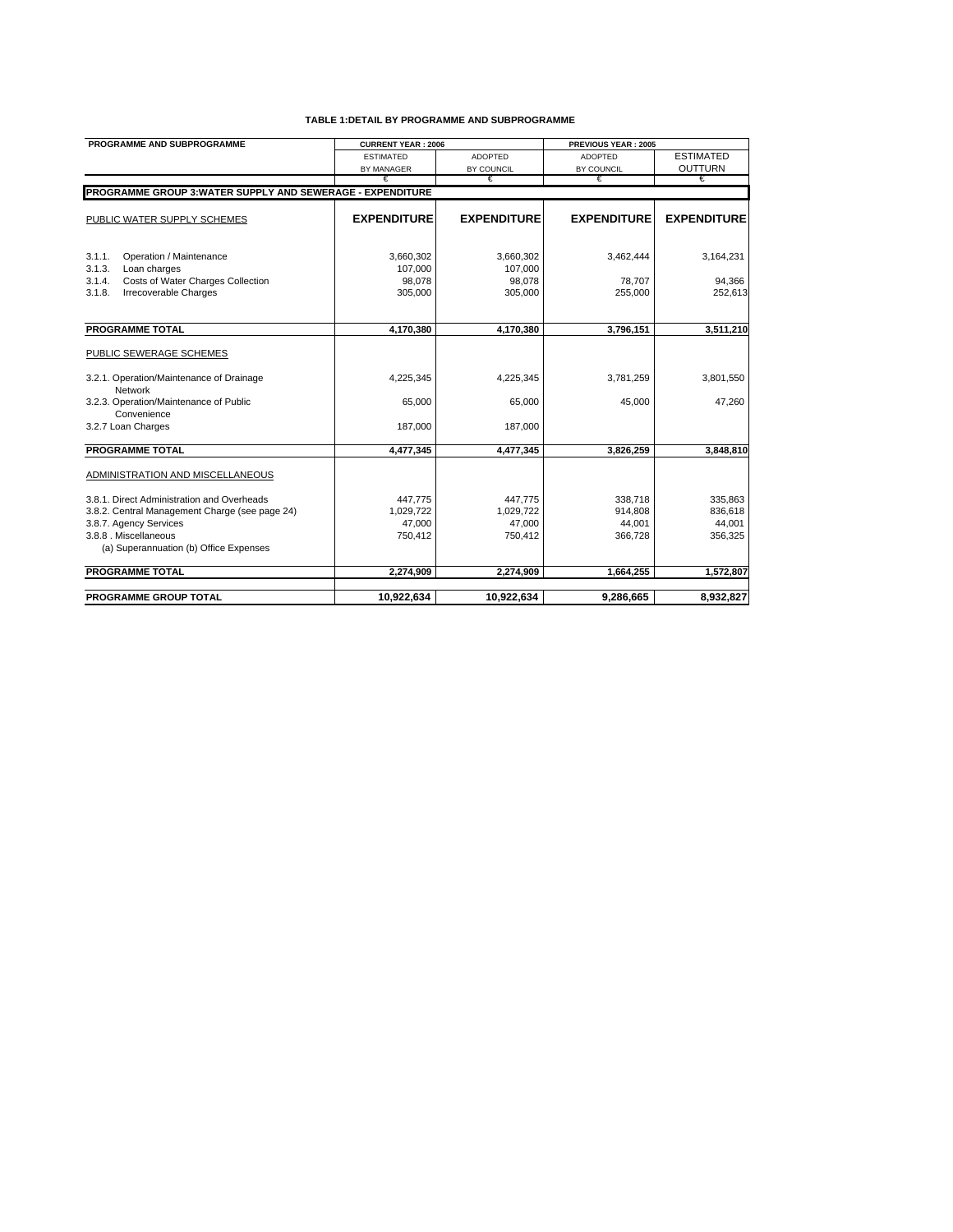| PROGRAMME AND SUBPROGRAMME                                        | <b>CURRENT YEAR: 2006</b> |                    | PREVIOUS YEAR: 2005 |                    |
|-------------------------------------------------------------------|---------------------------|--------------------|---------------------|--------------------|
|                                                                   | <b>ESTIMATED</b>          | <b>ADOPTED</b>     | <b>ADOPTED</b>      | <b>ESTIMATED</b>   |
|                                                                   | <b>BY MANAGER</b>         | BY COUNCIL         | BY COUNCIL          | <b>OUTTURN</b>     |
|                                                                   | €                         | €                  | €                   | €                  |
| <b>PROGRAMME GROUP 3: WATER SUPPLY AND SEWERAGE - EXPENDITURE</b> |                           |                    |                     |                    |
|                                                                   |                           |                    |                     |                    |
| PUBLIC WATER SUPPLY SCHEMES                                       | <b>EXPENDITURE</b>        | <b>EXPENDITURE</b> | <b>EXPENDITURE</b>  | <b>EXPENDITURE</b> |
|                                                                   |                           |                    |                     |                    |
| 3.1.1.<br>Operation / Maintenance                                 | 3,660,302                 | 3,660,302          | 3,462,444           | 3,164,231          |
| 3.1.3.<br>Loan charges                                            | 107,000                   | 107,000            |                     |                    |
| Costs of Water Charges Collection<br>3.1.4.                       | 98,078                    | 98,078             | 78,707              | 94,366             |
| 3.1.8.<br>Irrecoverable Charges                                   | 305,000                   | 305,000            | 255,000             | 252,613            |
|                                                                   |                           |                    |                     |                    |
|                                                                   |                           |                    |                     |                    |
| <b>PROGRAMME TOTAL</b>                                            | 4,170,380                 | 4,170,380          | 3,796,151           | 3,511,210          |
|                                                                   |                           |                    |                     |                    |
| PUBLIC SEWERAGE SCHEMES                                           |                           |                    |                     |                    |
| 3.2.1. Operation/Maintenance of Drainage                          | 4,225,345                 | 4,225,345          | 3,781,259           | 3,801,550          |
| Network                                                           |                           |                    |                     |                    |
| 3.2.3. Operation/Maintenance of Public                            | 65,000                    | 65,000             | 45,000              | 47,260             |
| Convenience                                                       |                           |                    |                     |                    |
| 3.2.7 Loan Charges                                                | 187,000                   | 187,000            |                     |                    |
|                                                                   |                           |                    |                     |                    |
| <b>PROGRAMME TOTAL</b>                                            | 4,477,345                 | 4,477,345          | 3,826,259           | 3,848,810          |
|                                                                   |                           |                    |                     |                    |
| ADMINISTRATION AND MISCELLANEOUS                                  |                           |                    |                     |                    |
| 3.8.1. Direct Administration and Overheads                        | 447.775                   | 447,775            | 338,718             | 335,863            |
| 3.8.2. Central Management Charge (see page 24)                    | 1.029.722                 | 1.029.722          | 914,808             | 836,618            |
| 3.8.7. Agency Services                                            | 47,000                    | 47,000             | 44,001              | 44,001             |
| 3.8.8. Miscellaneous                                              | 750,412                   | 750,412            | 366,728             | 356,325            |
| (a) Superannuation (b) Office Expenses                            |                           |                    |                     |                    |
|                                                                   |                           |                    |                     |                    |
| <b>PROGRAMME TOTAL</b>                                            | 2,274,909                 | 2,274,909          | 1,664,255           | 1,572,807          |
|                                                                   |                           |                    |                     |                    |
| <b>PROGRAMME GROUP TOTAL</b>                                      | 10,922,634                | 10,922,634         | 9,286,665           | 8,932,827          |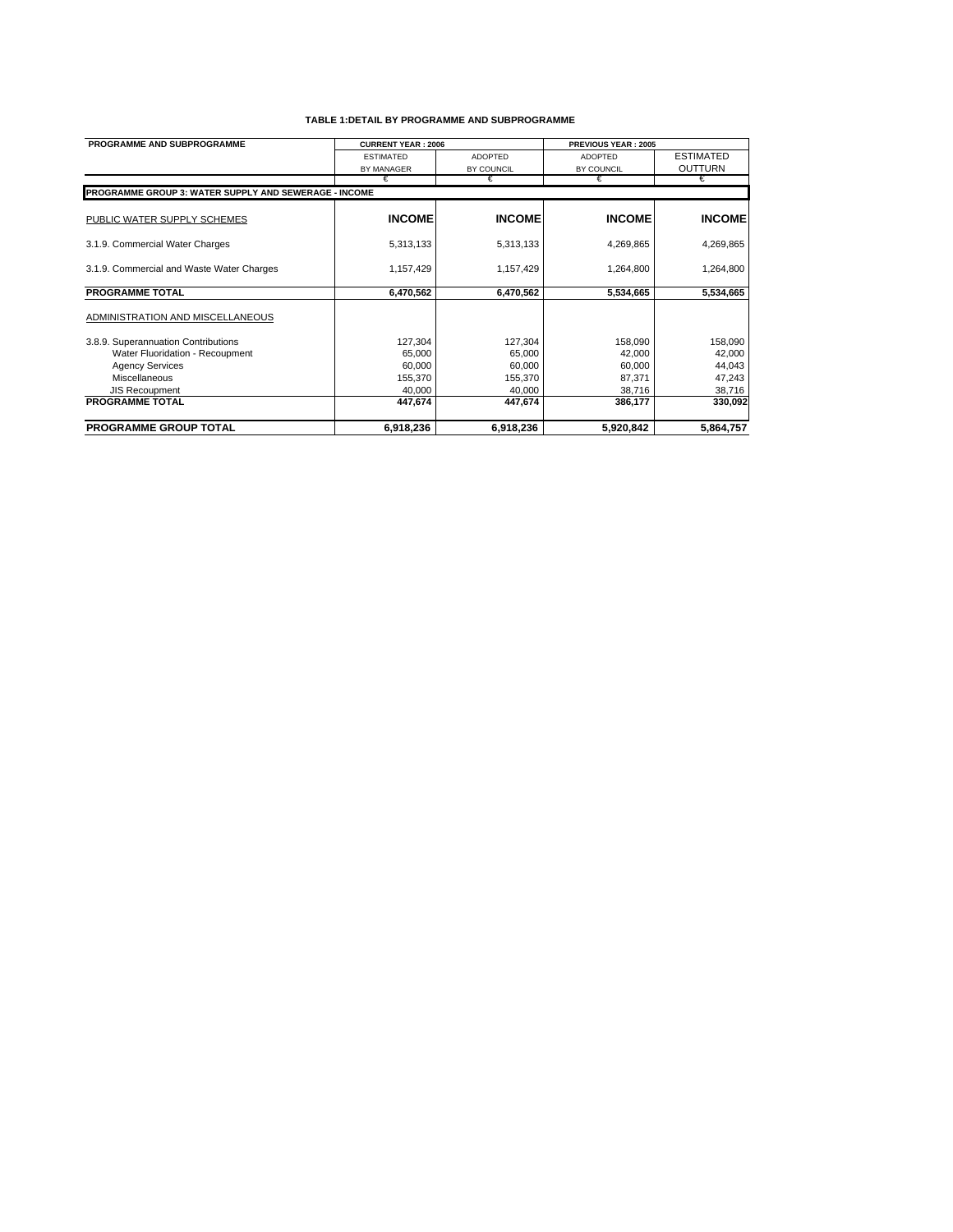| PROGRAMME AND SUBPROGRAMME                            | <b>CURRENT YEAR: 2006</b> | <b>PREVIOUS YEAR: 2005</b> |                |                  |
|-------------------------------------------------------|---------------------------|----------------------------|----------------|------------------|
|                                                       | <b>ESTIMATED</b>          | <b>ADOPTED</b>             | <b>ADOPTED</b> | <b>ESTIMATED</b> |
|                                                       | <b>BY MANAGER</b>         | BY COUNCIL                 | BY COUNCIL     | <b>OUTTURN</b>   |
|                                                       | €                         | €                          | €              | €                |
| PROGRAMME GROUP 3: WATER SUPPLY AND SEWERAGE - INCOME |                           |                            |                |                  |
| PUBLIC WATER SUPPLY SCHEMES                           | <b>INCOME</b>             | <b>INCOME</b>              | <b>INCOME</b>  | <b>INCOME</b>    |
| 3.1.9. Commercial Water Charges                       | 5,313,133                 | 5,313,133                  | 4,269,865      | 4,269,865        |
| 3.1.9. Commercial and Waste Water Charges             | 1,157,429                 | 1,157,429                  | 1,264,800      | 1,264,800        |
| <b>PROGRAMME TOTAL</b>                                | 6,470,562                 | 6,470,562                  | 5,534,665      | 5,534,665        |
| ADMINISTRATION AND MISCELLANEOUS                      |                           |                            |                |                  |
| 3.8.9. Superannuation Contributions                   | 127,304                   | 127,304                    | 158,090        | 158,090          |
| Water Fluoridation - Recoupment                       | 65,000                    | 65,000                     | 42,000         | 42,000           |
| <b>Agency Services</b>                                | 60,000                    | 60,000                     | 60,000         | 44,043           |
| Miscellaneous                                         | 155.370                   | 155,370                    | 87,371         | 47,243           |
| <b>JIS Recoupment</b>                                 | 40,000                    | 40,000                     | 38,716         | 38,716           |
| <b>PROGRAMME TOTAL</b>                                | 447,674                   | 447,674                    | 386,177        | 330,092          |
| PROGRAMME GROUP TOTAL                                 | 6,918,236                 | 6,918,236                  | 5,920,842      | 5,864,757        |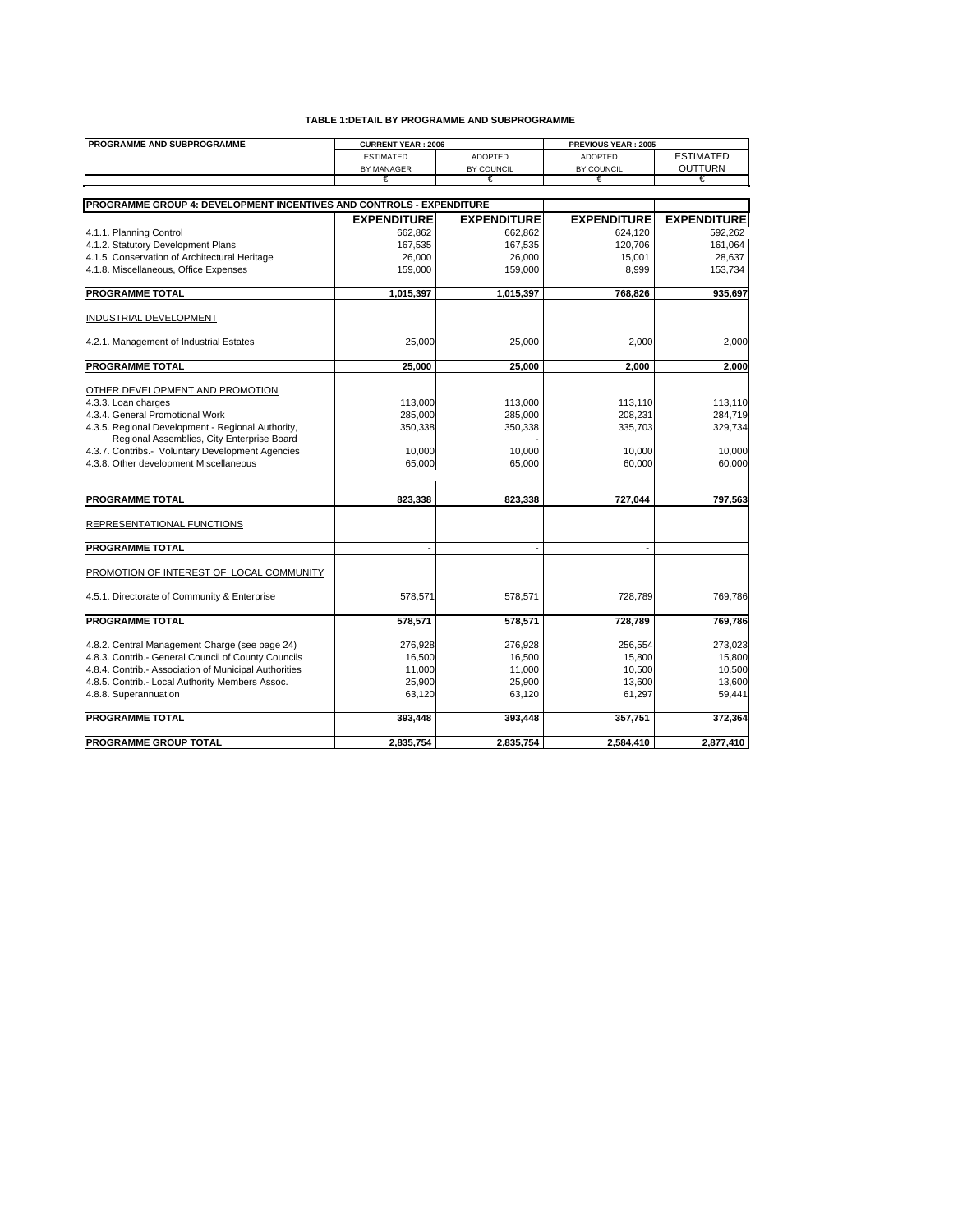| PROGRAMME AND SUBPROGRAMME                                           | <b>CURRENT YEAR: 2006</b> |                    | PREVIOUS YEAR: 2005      |                    |
|----------------------------------------------------------------------|---------------------------|--------------------|--------------------------|--------------------|
|                                                                      | <b>ESTIMATED</b>          | <b>ADOPTED</b>     | <b>ADOPTED</b>           | <b>ESTIMATED</b>   |
|                                                                      | BY MANAGER                | BY COUNCIL         | BY COUNCIL               | <b>OUTTURN</b>     |
|                                                                      | €                         | €                  | €                        | €                  |
|                                                                      |                           |                    |                          |                    |
| PROGRAMME GROUP 4: DEVELOPMENT INCENTIVES AND CONTROLS - EXPENDITURE |                           |                    |                          |                    |
|                                                                      | <b>EXPENDITURE</b>        | <b>EXPENDITURE</b> | <b>EXPENDITURE</b>       | <b>EXPENDITURE</b> |
| 4.1.1. Planning Control                                              | 662,862                   | 662,862            | 624,120                  | 592,262            |
| 4.1.2. Statutory Development Plans                                   | 167,535                   | 167,535            | 120,706                  | 161,064            |
| 4.1.5 Conservation of Architectural Heritage                         | 26,000                    | 26,000             | 15,001                   | 28,637             |
| 4.1.8. Miscellaneous, Office Expenses                                | 159,000                   | 159,000            | 8,999                    | 153,734            |
|                                                                      |                           |                    |                          |                    |
| <b>PROGRAMME TOTAL</b>                                               | 1,015,397                 | 1,015,397          | 768,826                  | 935,697            |
| <b>INDUSTRIAL DEVELOPMENT</b>                                        |                           |                    |                          |                    |
|                                                                      |                           |                    |                          |                    |
| 4.2.1. Management of Industrial Estates                              | 25,000                    | 25,000             | 2,000                    | 2,000              |
| <b>PROGRAMME TOTAL</b>                                               | 25,000                    | 25,000             | 2,000                    | 2,000              |
|                                                                      |                           |                    |                          |                    |
| OTHER DEVELOPMENT AND PROMOTION                                      |                           |                    |                          |                    |
| 4.3.3. Loan charges                                                  | 113,000                   | 113,000            | 113,110                  | 113,110            |
| 4.3.4. General Promotional Work                                      | 285,000                   | 285,000            | 208,231                  | 284,719            |
| 4.3.5. Regional Development - Regional Authority,                    | 350,338                   | 350,338            | 335,703                  | 329,734            |
| Regional Assemblies, City Enterprise Board                           |                           |                    |                          |                    |
| 4.3.7. Contribs.- Voluntary Development Agencies                     | 10,000                    | 10,000             | 10.000                   | 10.000             |
| 4.3.8. Other development Miscellaneous                               | 65,000                    | 65,000             | 60,000                   | 60,000             |
|                                                                      |                           |                    |                          |                    |
| <b>PROGRAMME TOTAL</b>                                               | 823.338                   | 823.338            | 727,044                  | 797.563            |
| REPRESENTATIONAL FUNCTIONS                                           |                           |                    |                          |                    |
| <b>PROGRAMME TOTAL</b>                                               | $\blacksquare$            | ٠                  | $\overline{\phantom{a}}$ |                    |
|                                                                      |                           |                    |                          |                    |
| PROMOTION OF INTEREST OF LOCAL COMMUNITY                             |                           |                    |                          |                    |
| 4.5.1. Directorate of Community & Enterprise                         | 578,571                   | 578,571            | 728,789                  | 769,786            |
|                                                                      |                           |                    |                          |                    |
| <b>PROGRAMME TOTAL</b>                                               | 578,571                   | 578,571            | 728,789                  | 769,786            |
| 4.8.2. Central Management Charge (see page 24)                       | 276,928                   | 276,928            | 256,554                  | 273,023            |
| 4.8.3. Contrib.- General Council of County Councils                  | 16,500                    | 16,500             | 15,800                   | 15,800             |
| 4.8.4. Contrib.- Association of Municipal Authorities                | 11,000                    | 11,000             | 10,500                   | 10,500             |
| 4.8.5. Contrib.- Local Authority Members Assoc.                      | 25,900                    | 25,900             | 13,600                   | 13,600             |
| 4.8.8. Superannuation                                                | 63,120                    | 63,120             | 61,297                   | 59,441             |
|                                                                      |                           |                    |                          |                    |
| <b>PROGRAMME TOTAL</b>                                               | 393,448                   | 393,448            | 357,751                  | 372,364            |
| PROGRAMME GROUP TOTAL                                                | 2,835,754                 | 2,835,754          | 2,584,410                | 2,877,410          |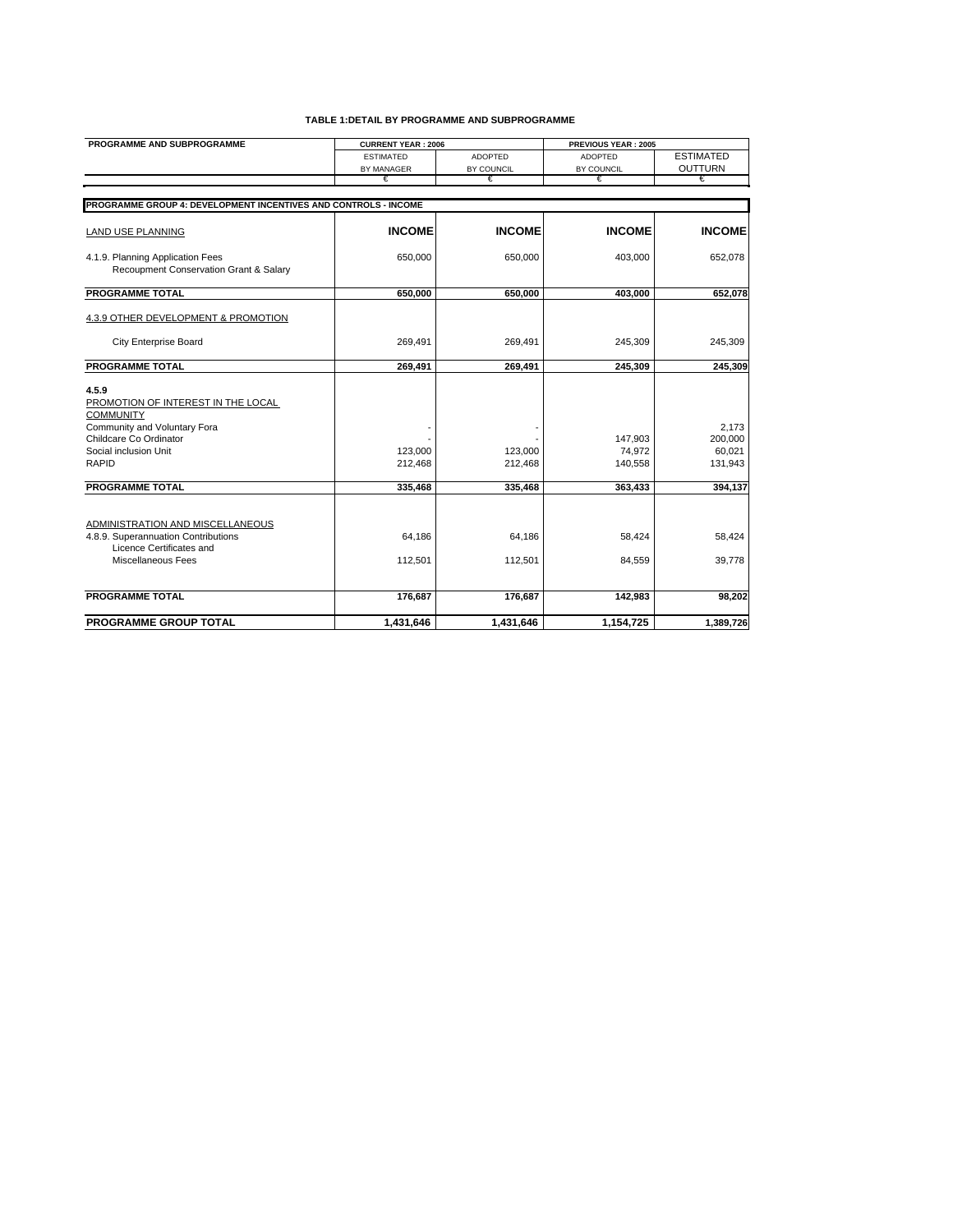| PROGRAMME AND SUBPROGRAMME                                                                                                                                         | <b>CURRENT YEAR: 2006</b> |                    | PREVIOUS YEAR: 2005          |                                       |
|--------------------------------------------------------------------------------------------------------------------------------------------------------------------|---------------------------|--------------------|------------------------------|---------------------------------------|
|                                                                                                                                                                    | <b>ESTIMATED</b>          | <b>ADOPTED</b>     | <b>ADOPTED</b>               | <b>ESTIMATED</b>                      |
|                                                                                                                                                                    | BY MANAGER                | BY COUNCIL         | BY COUNCIL                   | <b>OUTTURN</b>                        |
|                                                                                                                                                                    | €                         | €                  | €                            | €                                     |
|                                                                                                                                                                    |                           |                    |                              |                                       |
| PROGRAMME GROUP 4: DEVELOPMENT INCENTIVES AND CONTROLS - INCOME                                                                                                    |                           |                    |                              |                                       |
| <b>LAND USE PLANNING</b>                                                                                                                                           | <b>INCOME</b>             | <b>INCOME</b>      | <b>INCOME</b>                | <b>INCOME</b>                         |
| 4.1.9. Planning Application Fees<br>Recoupment Conservation Grant & Salary                                                                                         | 650,000                   | 650,000            | 403,000                      | 652,078                               |
| <b>PROGRAMME TOTAL</b>                                                                                                                                             | 650,000                   | 650.000            | 403.000                      | 652,078                               |
| 4.3.9 OTHER DEVELOPMENT & PROMOTION                                                                                                                                |                           |                    |                              |                                       |
| <b>City Enterprise Board</b>                                                                                                                                       | 269.491                   | 269,491            | 245,309                      | 245,309                               |
| <b>PROGRAMME TOTAL</b>                                                                                                                                             | 269,491                   | 269,491            | 245,309                      | 245,309                               |
| 4.5.9<br>PROMOTION OF INTEREST IN THE LOCAL<br><b>COMMUNITY</b><br>Community and Voluntary Fora<br>Childcare Co Ordinator<br>Social inclusion Unit<br><b>RAPID</b> | 123,000<br>212,468        | 123,000<br>212,468 | 147,903<br>74,972<br>140,558 | 2.173<br>200,000<br>60,021<br>131,943 |
| <b>PROGRAMME TOTAL</b>                                                                                                                                             | 335,468                   | 335,468            | 363,433                      | 394,137                               |
| ADMINISTRATION AND MISCELLANEOUS<br>4.8.9. Superannuation Contributions<br>Licence Certificates and<br>Miscellaneous Fees                                          | 64,186<br>112,501         | 64,186<br>112,501  | 58,424<br>84,559             | 58,424<br>39,778                      |
| <b>PROGRAMME TOTAL</b>                                                                                                                                             | 176,687                   | 176,687            | 142,983                      | 98,202                                |
| <b>PROGRAMME GROUP TOTAL</b>                                                                                                                                       | 1,431,646                 | 1,431,646          | 1,154,725                    | 1,389,726                             |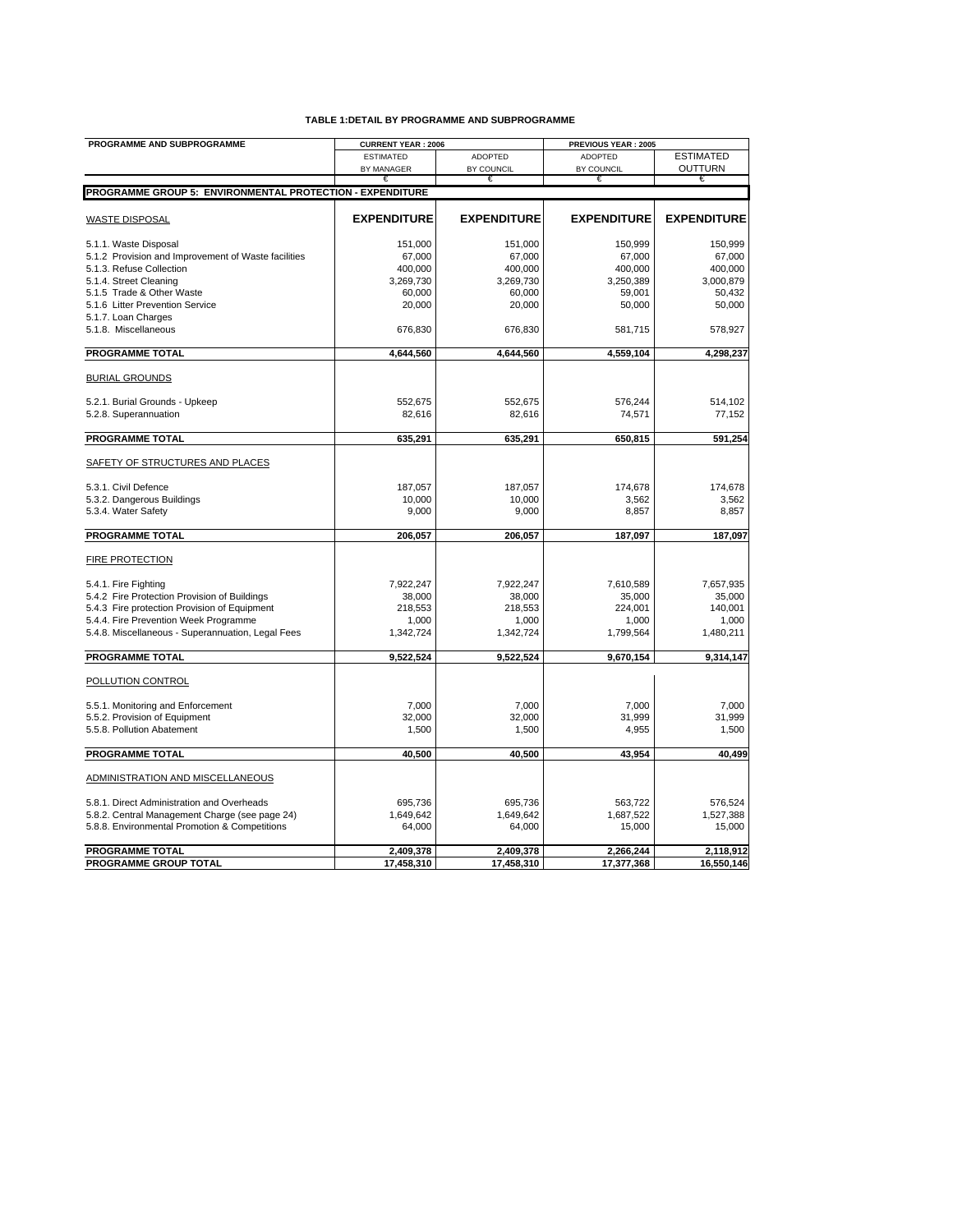| <b>PROGRAMME AND SUBPROGRAMME</b>                         | <b>CURRENT YEAR: 2006</b> |                    | PREVIOUS YEAR: 2005 |                    |
|-----------------------------------------------------------|---------------------------|--------------------|---------------------|--------------------|
|                                                           | <b>ESTIMATED</b>          | <b>ADOPTED</b>     | <b>ADOPTED</b>      | <b>ESTIMATED</b>   |
|                                                           | BY MANAGER                | BY COUNCIL         | BY COUNCIL          | OUTTURN            |
|                                                           |                           | €                  | €                   | €                  |
| PROGRAMME GROUP 5: ENVIRONMENTAL PROTECTION - EXPENDITURE |                           |                    |                     |                    |
| <b>WASTE DISPOSAL</b>                                     | <b>EXPENDITURE</b>        | <b>EXPENDITURE</b> | <b>EXPENDITURE</b>  | <b>EXPENDITURE</b> |
| 5.1.1. Waste Disposal                                     | 151,000                   | 151,000            | 150,999             | 150,999            |
| 5.1.2 Provision and Improvement of Waste facilities       | 67,000                    | 67,000             | 67,000              | 67,000             |
| 5.1.3. Refuse Collection                                  | 400,000                   | 400,000            | 400,000             | 400,000            |
| 5.1.4. Street Cleaning                                    | 3,269,730                 | 3,269,730          | 3,250,389           | 3,000,879          |
| 5.1.5 Trade & Other Waste                                 | 60,000                    | 60,000             | 59,001              | 50,432             |
| 5.1.6 Litter Prevention Service                           | 20,000                    | 20,000             | 50,000              | 50,000             |
| 5.1.7. Loan Charges<br>5.1.8. Miscellaneous               |                           |                    |                     |                    |
|                                                           | 676,830                   | 676,830            | 581,715             | 578,927            |
| <b>PROGRAMME TOTAL</b>                                    | 4,644,560                 | 4,644,560          | 4,559,104           | 4,298,237          |
| <b>BURIAL GROUNDS</b>                                     |                           |                    |                     |                    |
| 5.2.1. Burial Grounds - Upkeep                            | 552,675                   | 552,675            | 576,244             | 514,102            |
| 5.2.8. Superannuation                                     | 82,616                    | 82,616             | 74,571              | 77,152             |
| <b>PROGRAMME TOTAL</b>                                    | 635,291                   | 635,291            | 650,815             | 591,254            |
|                                                           |                           |                    |                     |                    |
| SAFETY OF STRUCTURES AND PLACES                           |                           |                    |                     |                    |
| 5.3.1. Civil Defence                                      | 187,057                   | 187,057            | 174,678             | 174,678            |
| 5.3.2. Dangerous Buildings                                | 10,000                    | 10,000             | 3,562               | 3,562              |
| 5.3.4. Water Safety                                       | 9,000                     | 9,000              | 8,857               | 8,857              |
| <b>PROGRAMME TOTAL</b>                                    | 206,057                   | 206,057            | 187,097             | 187,097            |
| <b>FIRE PROTECTION</b>                                    |                           |                    |                     |                    |
| 5.4.1. Fire Fighting                                      | 7,922,247                 | 7,922,247          | 7,610,589           | 7,657,935          |
| 5.4.2 Fire Protection Provision of Buildings              | 38,000                    | 38,000             | 35,000              | 35,000             |
| 5.4.3 Fire protection Provision of Equipment              | 218,553                   | 218,553            | 224,001             | 140,001            |
| 5.4.4. Fire Prevention Week Programme                     | 1,000                     | 1,000              | 1,000               | 1,000              |
| 5.4.8. Miscellaneous - Superannuation, Legal Fees         | 1,342,724                 | 1,342,724          | 1,799,564           | 1,480,211          |
| <b>PROGRAMME TOTAL</b>                                    | 9,522,524                 | 9,522,524          | 9,670,154           | 9,314,147          |
| POLLUTION CONTROL                                         |                           |                    |                     |                    |
| 5.5.1. Monitoring and Enforcement                         | 7,000                     | 7,000              | 7,000               | 7.000              |
| 5.5.2. Provision of Equipment                             | 32,000                    | 32,000             | 31,999              | 31,999             |
| 5.5.8. Pollution Abatement                                | 1,500                     | 1,500              | 4,955               | 1,500              |
| <b>PROGRAMME TOTAL</b>                                    | 40,500                    | 40,500             | 43,954              | 40,499             |
| ADMINISTRATION AND MISCELLANEOUS                          |                           |                    |                     |                    |
| 5.8.1. Direct Administration and Overheads                | 695,736                   | 695,736            | 563,722             | 576,524            |
| 5.8.2. Central Management Charge (see page 24)            | 1,649,642                 | 1,649,642          | 1,687,522           | 1,527,388          |
| 5.8.8. Environmental Promotion & Competitions             | 64,000                    | 64,000             | 15,000              | 15,000             |
| <b>PROGRAMME TOTAL</b>                                    | 2,409,378                 | 2,409,378          | 2,266,244           | 2,118,912          |
| <b>PROGRAMME GROUP TOTAL</b>                              | 17,458,310                | 17.458.310         | 17,377,368          | 16.550.146         |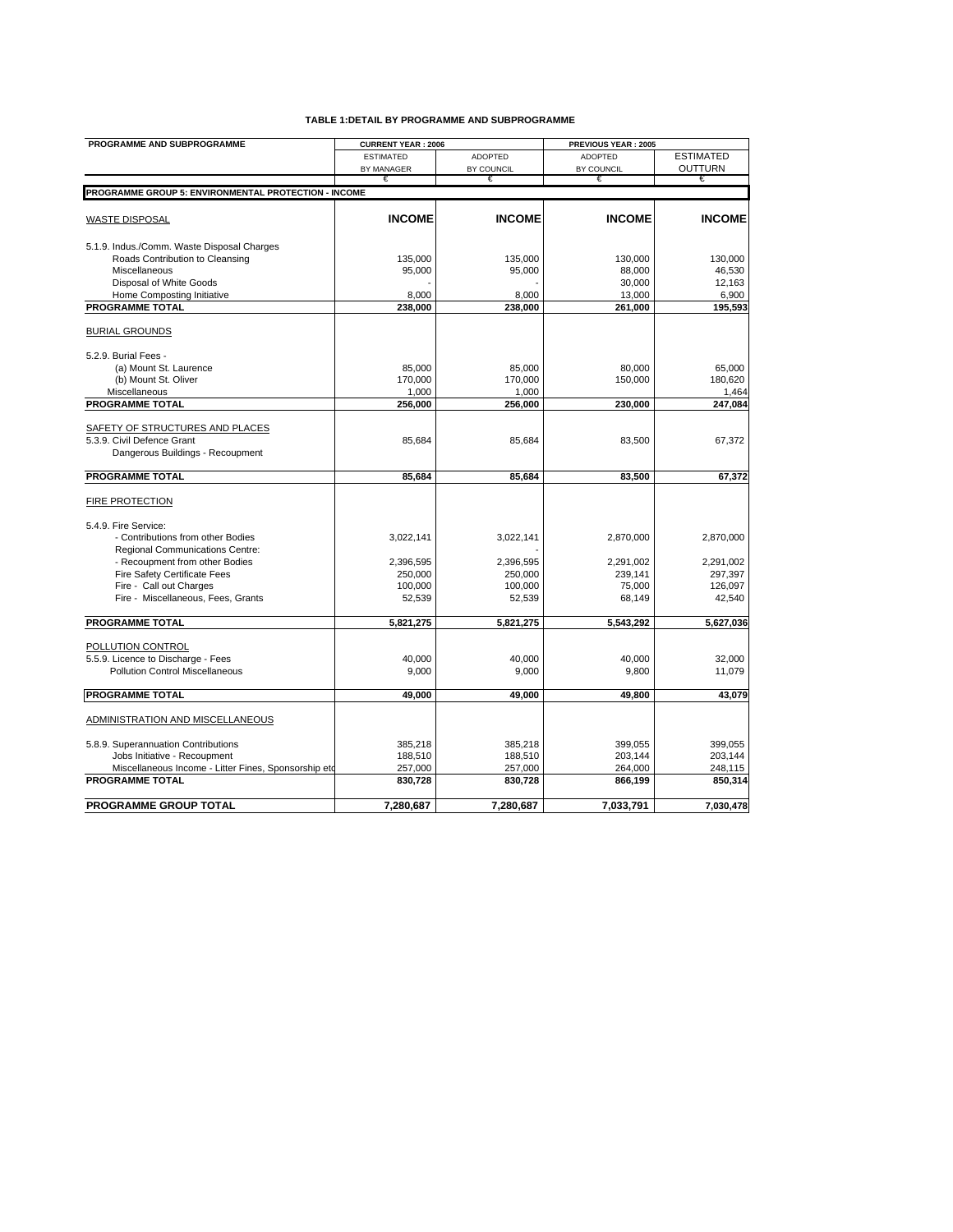| PROGRAMME AND SUBPROGRAMME                           | <b>CURRENT YEAR: 2006</b> |                | PREVIOUS YEAR: 2005 |                  |
|------------------------------------------------------|---------------------------|----------------|---------------------|------------------|
|                                                      | <b>ESTIMATED</b>          | <b>ADOPTED</b> | <b>ADOPTED</b>      | <b>ESTIMATED</b> |
|                                                      | BY MANAGER                | BY COUNCIL     | BY COUNCIL          | <b>OUTTURN</b>   |
|                                                      | €                         | €              | €                   | €                |
| PROGRAMME GROUP 5: ENVIRONMENTAL PROTECTION - INCOME |                           |                |                     |                  |
|                                                      |                           |                |                     |                  |
| <b>WASTE DISPOSAL</b>                                | <b>INCOME</b>             | <b>INCOME</b>  | <b>INCOME</b>       | <b>INCOME</b>    |
| 5.1.9. Indus./Comm. Waste Disposal Charges           |                           |                |                     |                  |
| Roads Contribution to Cleansing                      | 135,000                   | 135,000        | 130,000             | 130,000          |
| Miscellaneous                                        | 95,000                    | 95,000         | 88,000              | 46,530           |
| Disposal of White Goods                              |                           |                | 30,000              | 12,163           |
| Home Composting Initiative                           | 8,000                     | 8,000          | 13,000              | 6,900            |
| <b>PROGRAMME TOTAL</b>                               | 238,000                   | 238,000        | 261,000             | 195,593          |
| <b>BURIAL GROUNDS</b>                                |                           |                |                     |                  |
| 5.2.9. Burial Fees -                                 |                           |                |                     |                  |
| (a) Mount St. Laurence                               | 85,000                    | 85,000         | 80.000              | 65,000           |
| (b) Mount St. Oliver                                 | 170,000                   | 170,000        | 150,000             | 180,620          |
| Miscellaneous                                        | 1,000                     | 1.000          |                     | 1,464            |
| <b>PROGRAMME TOTAL</b>                               | 256,000                   | 256,000        | 230,000             | 247,084          |
|                                                      |                           |                |                     |                  |
| SAFETY OF STRUCTURES AND PLACES                      |                           |                |                     |                  |
| 5.3.9. Civil Defence Grant                           | 85,684                    | 85,684         | 83,500              | 67,372           |
| Dangerous Buildings - Recoupment                     |                           |                |                     |                  |
|                                                      |                           |                |                     |                  |
| <b>PROGRAMME TOTAL</b>                               | 85.684                    | 85.684         | 83,500              | 67,372           |
| FIRE PROTECTION                                      |                           |                |                     |                  |
| 5.4.9. Fire Service:                                 |                           |                |                     |                  |
| - Contributions from other Bodies                    | 3,022,141                 | 3,022,141      | 2,870,000           | 2,870,000        |
| Regional Communications Centre:                      |                           |                |                     |                  |
| - Recoupment from other Bodies                       | 2,396,595                 | 2,396,595      | 2,291,002           | 2,291,002        |
| Fire Safety Certificate Fees                         | 250,000                   | 250,000        | 239,141             | 297,397          |
| Fire - Call out Charges                              | 100,000                   | 100,000        | 75,000              | 126,097          |
| Fire - Miscellaneous, Fees, Grants                   | 52,539                    | 52,539         | 68,149              | 42,540           |
|                                                      |                           |                |                     |                  |
| <b>PROGRAMME TOTAL</b>                               | 5,821,275                 | 5,821,275      | 5,543,292           | 5,627,036        |
| POLLUTION CONTROL                                    |                           |                |                     |                  |
| 5.5.9. Licence to Discharge - Fees                   | 40,000                    | 40,000         | 40,000              | 32,000           |
| <b>Pollution Control Miscellaneous</b>               | 9,000                     | 9,000          | 9,800               | 11,079           |
|                                                      |                           |                |                     |                  |
| <b>PROGRAMME TOTAL</b>                               | 49,000                    | 49,000         | 49,800              | 43,079           |
| ADMINISTRATION AND MISCELLANEOUS                     |                           |                |                     |                  |
|                                                      |                           |                |                     |                  |
| 5.8.9. Superannuation Contributions                  | 385,218                   | 385,218        | 399,055             | 399,055          |
| Jobs Initiative - Recoupment                         | 188,510                   | 188,510        | 203,144             | 203,144          |
| Miscellaneous Income - Litter Fines, Sponsorship etd | 257,000                   | 257,000        | 264,000             | 248,115          |
| <b>PROGRAMME TOTAL</b>                               | 830,728                   | 830,728        | 866,199             | 850,314          |
| PROGRAMME GROUP TOTAL                                | 7,280,687                 | 7,280,687      | 7,033,791           | 7,030,478        |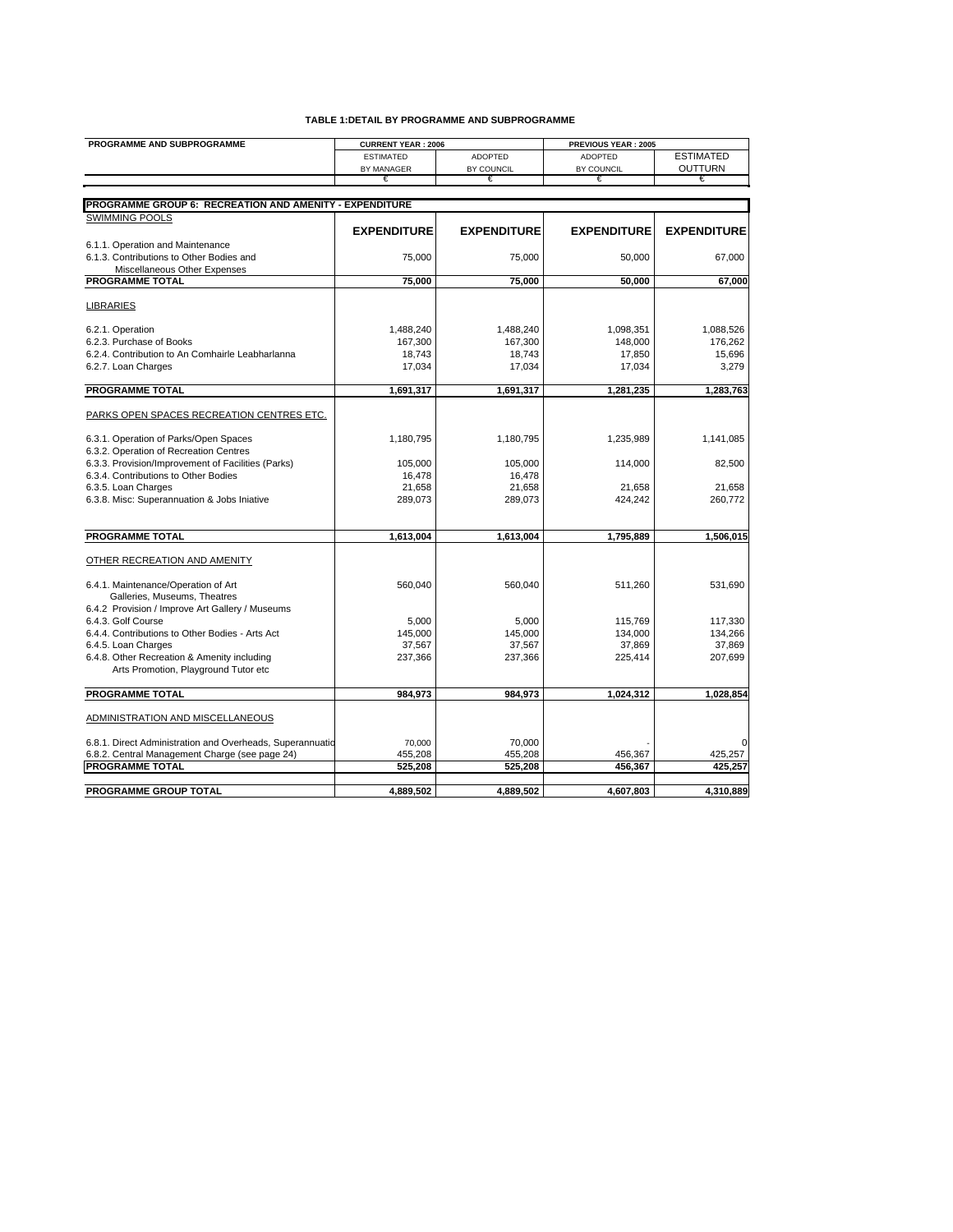| PROGRAMME AND SUBPROGRAMME                                | <b>CURRENT YEAR: 2006</b> |                    | PREVIOUS YEAR: 2005 |                    |
|-----------------------------------------------------------|---------------------------|--------------------|---------------------|--------------------|
|                                                           | <b>ESTIMATED</b>          | <b>ADOPTED</b>     | <b>ADOPTED</b>      | <b>ESTIMATED</b>   |
|                                                           | BY MANAGER                | BY COUNCIL         | BY COUNCIL          | <b>OUTTURN</b>     |
|                                                           | €                         |                    |                     |                    |
|                                                           |                           |                    |                     |                    |
| PROGRAMME GROUP 6: RECREATION AND AMENITY - EXPENDITURE   |                           |                    |                     |                    |
| <b>SWIMMING POOLS</b>                                     |                           |                    |                     |                    |
|                                                           | <b>EXPENDITURE</b>        | <b>EXPENDITURE</b> | <b>EXPENDITURE</b>  | <b>EXPENDITURE</b> |
| 6.1.1. Operation and Maintenance                          |                           |                    |                     |                    |
| 6.1.3. Contributions to Other Bodies and                  | 75,000                    | 75,000             | 50,000              | 67,000             |
| Miscellaneous Other Expenses                              |                           |                    |                     |                    |
| <b>PROGRAMME TOTAL</b>                                    | 75,000                    | 75,000             | 50,000              | 67,000             |
|                                                           |                           |                    |                     |                    |
| <b>LIBRARIES</b>                                          |                           |                    |                     |                    |
| 6.2.1. Operation                                          | 1,488,240                 | 1,488,240          | 1,098,351           | 1,088,526          |
| 6.2.3. Purchase of Books                                  | 167,300                   | 167,300            | 148,000             | 176,262            |
| 6.2.4. Contribution to An Comhairle Leabharlanna          | 18,743                    | 18,743             | 17,850              | 15,696             |
| 6.2.7. Loan Charges                                       | 17,034                    | 17,034             | 17,034              | 3,279              |
|                                                           |                           |                    |                     |                    |
| <b>PROGRAMME TOTAL</b>                                    | 1,691,317                 | 1,691,317          | 1,281,235           | 1,283,763          |
|                                                           |                           |                    |                     |                    |
| PARKS OPEN SPACES RECREATION CENTRES ETC.                 |                           |                    |                     |                    |
| 6.3.1. Operation of Parks/Open Spaces                     | 1,180,795                 | 1,180,795          | 1,235,989           | 1,141,085          |
| 6.3.2. Operation of Recreation Centres                    |                           |                    |                     |                    |
| 6.3.3. Provision/Improvement of Facilities (Parks)        | 105,000                   | 105,000            | 114,000             | 82,500             |
| 6.3.4. Contributions to Other Bodies                      | 16,478                    | 16,478             |                     |                    |
| 6.3.5. Loan Charges                                       | 21,658                    | 21,658             | 21,658              | 21,658             |
| 6.3.8. Misc: Superannuation & Jobs Iniative               | 289,073                   | 289,073            | 424,242             | 260,772            |
|                                                           |                           |                    |                     |                    |
| PROGRAMME TOTAL                                           | 1,613,004                 | 1,613,004          | 1,795,889           | 1,506,015          |
|                                                           |                           |                    |                     |                    |
| OTHER RECREATION AND AMENITY                              |                           |                    |                     |                    |
|                                                           |                           |                    |                     |                    |
| 6.4.1. Maintenance/Operation of Art                       | 560,040                   | 560,040            | 511,260             | 531,690            |
| Galleries, Museums, Theatres                              |                           |                    |                     |                    |
| 6.4.2 Provision / Improve Art Gallery / Museums           |                           |                    |                     |                    |
| 6.4.3. Golf Course                                        | 5.000                     | 5,000              | 115.769             | 117,330            |
| 6.4.4. Contributions to Other Bodies - Arts Act           | 145,000                   | 145,000            | 134,000             | 134,266            |
| 6.4.5. Loan Charges                                       | 37,567                    | 37,567             | 37,869              | 37,869             |
| 6.4.8. Other Recreation & Amenity including               | 237,366                   | 237,366            | 225,414             | 207,699            |
| Arts Promotion, Playground Tutor etc                      |                           |                    |                     |                    |
| <b>PROGRAMME TOTAL</b>                                    | 984,973                   | 984,973            | 1,024,312           | 1,028,854          |
| ADMINISTRATION AND MISCELLANEOUS                          |                           |                    |                     |                    |
|                                                           |                           |                    |                     |                    |
| 6.8.1. Direct Administration and Overheads, Superannuatio | 70.000                    | 70.000             |                     |                    |
| 6.8.2. Central Management Charge (see page 24)            | 455,208                   | 455,208            | 456,367             | 425,257            |
| <b>PROGRAMME TOTAL</b>                                    | 525,208                   | 525,208            | 456,367             | 425.257            |
|                                                           |                           |                    |                     |                    |
| PROGRAMME GROUP TOTAL                                     | 4,889,502                 | 4,889,502          | 4,607,803           | 4,310,889          |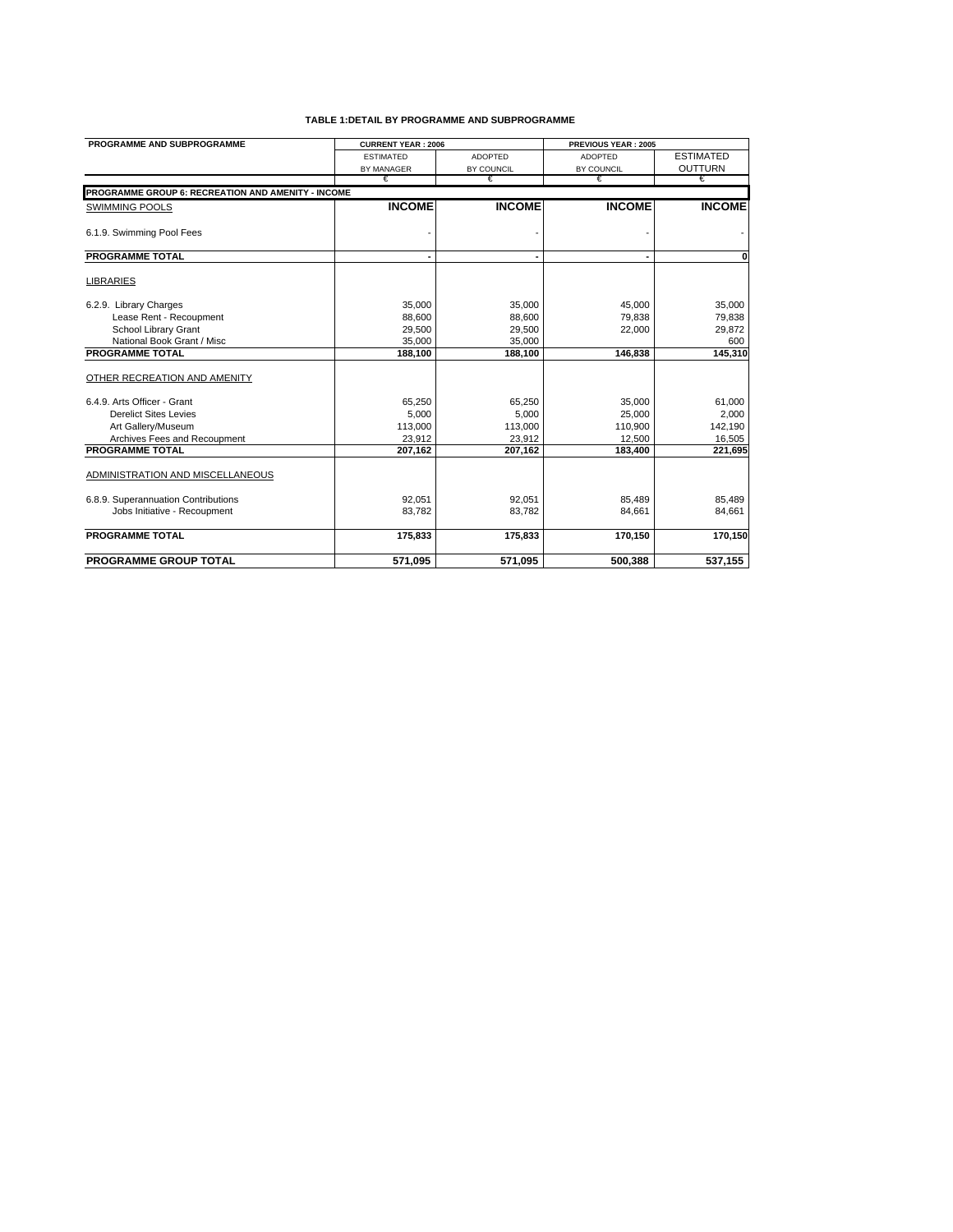| PROGRAMME AND SUBPROGRAMME                         | <b>CURRENT YEAR: 2006</b> |                | PREVIOUS YEAR: 2005 |                  |
|----------------------------------------------------|---------------------------|----------------|---------------------|------------------|
|                                                    | <b>ESTIMATED</b>          | <b>ADOPTED</b> | <b>ADOPTED</b>      | <b>ESTIMATED</b> |
|                                                    | <b>BY MANAGER</b>         | BY COUNCIL     | BY COUNCIL          | <b>OUTTURN</b>   |
|                                                    | €                         | €              | €                   | €                |
| PROGRAMME GROUP 6: RECREATION AND AMENITY - INCOME |                           |                |                     |                  |
| <b>SWIMMING POOLS</b>                              | <b>INCOME</b>             | <b>INCOME</b>  | <b>INCOME</b>       | <b>INCOME</b>    |
| 6.1.9. Swimming Pool Fees                          |                           |                |                     |                  |
| <b>PROGRAMME TOTAL</b>                             |                           |                |                     | $\mathbf{0}$     |
| <b>LIBRARIES</b>                                   |                           |                |                     |                  |
| 6.2.9. Library Charges                             | 35.000                    | 35.000         | 45.000              | 35,000           |
| Lease Rent - Recoupment                            | 88.600                    | 88,600         | 79.838              | 79,838           |
| School Library Grant                               | 29.500                    | 29.500         | 22.000              | 29,872           |
| National Book Grant / Misc                         | 35,000                    | 35.000         |                     | 600              |
| <b>PROGRAMME TOTAL</b>                             | 188,100                   | 188,100        | 146,838             | 145.310          |
| OTHER RECREATION AND AMENITY                       |                           |                |                     |                  |
| 6.4.9. Arts Officer - Grant                        | 65,250                    | 65,250         | 35,000              | 61,000           |
| <b>Derelict Sites Levies</b>                       | 5,000                     | 5,000          | 25,000              | 2,000            |
| Art Gallery/Museum                                 | 113,000                   | 113,000        | 110,900             | 142,190          |
| Archives Fees and Recoupment                       | 23,912                    | 23,912         | 12,500              | 16,505           |
| <b>PROGRAMME TOTAL</b>                             | 207,162                   | 207,162        | 183,400             | 221,695          |
| ADMINISTRATION AND MISCELLANEOUS                   |                           |                |                     |                  |
| 6.8.9. Superannuation Contributions                | 92,051                    | 92.051         | 85,489              | 85,489           |
| Jobs Initiative - Recoupment                       | 83,782                    | 83,782         | 84,661              | 84,661           |
| <b>PROGRAMME TOTAL</b>                             | 175,833                   | 175,833        | 170,150             | 170,150          |
| <b>PROGRAMME GROUP TOTAL</b>                       | 571,095                   | 571,095        | 500,388             | 537,155          |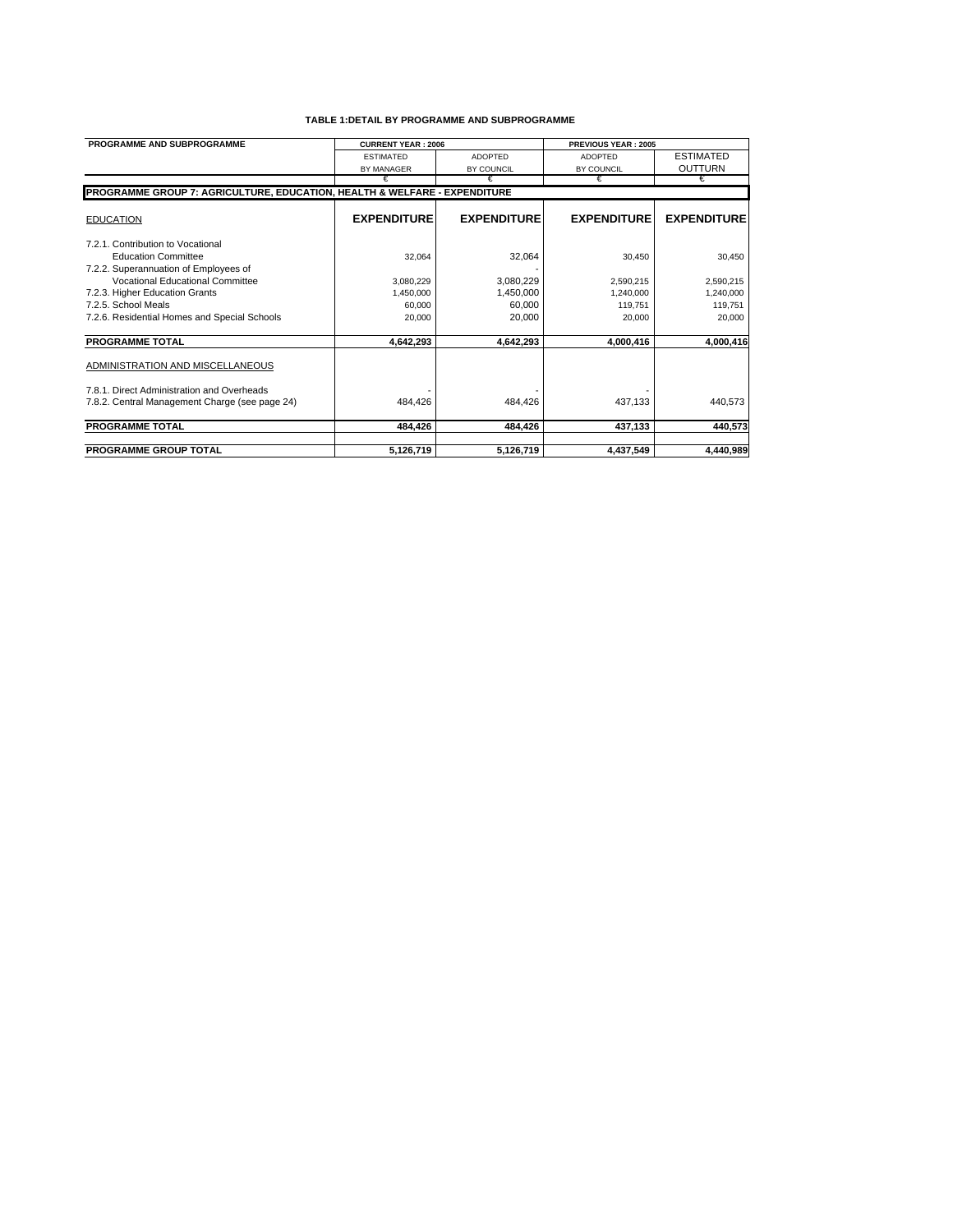| PROGRAMME AND SUBPROGRAMME                                                | <b>CURRENT YEAR: 2006</b> |                    | <b>PREVIOUS YEAR: 2005</b> |                    |
|---------------------------------------------------------------------------|---------------------------|--------------------|----------------------------|--------------------|
|                                                                           | <b>ESTIMATED</b>          | <b>ADOPTED</b>     | <b>ADOPTED</b>             | <b>ESTIMATED</b>   |
|                                                                           | <b>BY MANAGER</b>         | BY COUNCIL         | BY COUNCIL                 | <b>OUTTURN</b>     |
|                                                                           | €                         | €                  | €                          | €                  |
| PROGRAMME GROUP 7: AGRICULTURE, EDUCATION, HEALTH & WELFARE - EXPENDITURE |                           |                    |                            |                    |
| <b>EDUCATION</b>                                                          | <b>EXPENDITURE</b>        | <b>EXPENDITURE</b> | <b>EXPENDITURE</b>         | <b>EXPENDITURE</b> |
| 7.2.1. Contribution to Vocational                                         |                           |                    |                            |                    |
| <b>Education Committee</b>                                                | 32.064                    | 32,064             | 30.450                     | 30,450             |
| 7.2.2. Superannuation of Employees of                                     |                           |                    |                            |                    |
| Vocational Educational Committee                                          | 3.080.229                 | 3,080,229          | 2.590.215                  | 2,590,215          |
| 7.2.3. Higher Education Grants                                            | 1,450,000                 | 1,450,000          | 1,240,000                  | 1,240,000          |
| 7.2.5. School Meals                                                       | 60,000                    | 60,000             | 119,751                    | 119,751            |
| 7.2.6. Residential Homes and Special Schools                              | 20,000                    | 20,000             | 20,000                     | 20,000             |
| <b>PROGRAMME TOTAL</b>                                                    | 4,642,293                 | 4,642,293          | 4,000,416                  | 4,000,416          |
| ADMINISTRATION AND MISCELLANEOUS                                          |                           |                    |                            |                    |
| 7.8.1. Direct Administration and Overheads                                |                           |                    |                            |                    |
| 7.8.2. Central Management Charge (see page 24)                            | 484,426                   | 484,426            | 437,133                    | 440,573            |
| <b>PROGRAMME TOTAL</b>                                                    | 484,426                   | 484,426            | 437,133                    | 440,573            |
| <b>PROGRAMME GROUP TOTAL</b>                                              | 5,126,719                 | 5,126,719          | 4,437,549                  | 4.440.989          |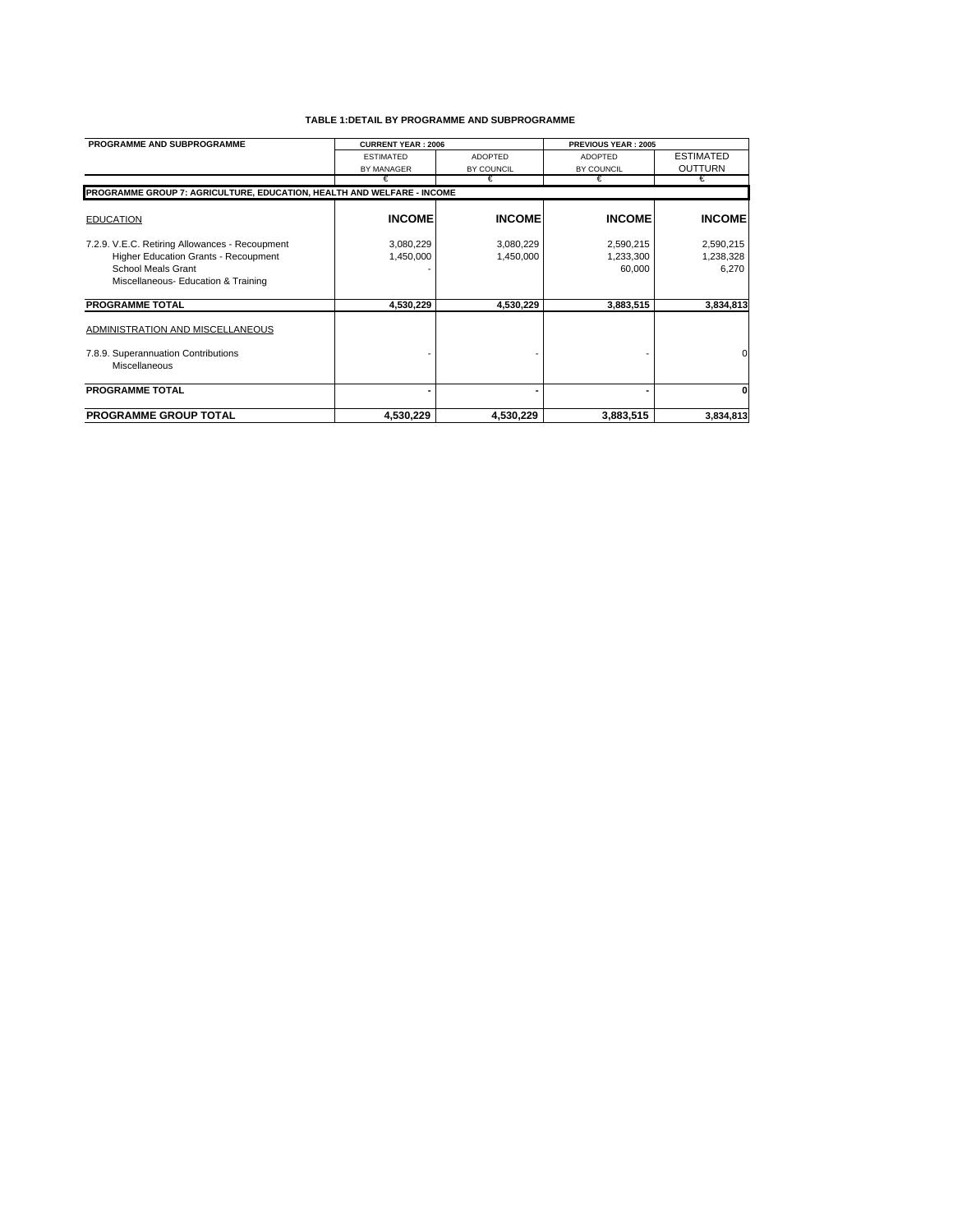| PROGRAMME AND SUBPROGRAMME                                             | <b>CURRENT YEAR: 2006</b> |                | <b>PREVIOUS YEAR: 2005</b> |                  |
|------------------------------------------------------------------------|---------------------------|----------------|----------------------------|------------------|
|                                                                        | <b>ESTIMATED</b>          | <b>ADOPTED</b> | <b>ADOPTED</b>             | <b>ESTIMATED</b> |
|                                                                        | <b>BY MANAGER</b>         | BY COUNCIL     | BY COUNCIL                 | <b>OUTTURN</b>   |
|                                                                        | €                         | €              | €                          | €                |
| PROGRAMME GROUP 7: AGRICULTURE, EDUCATION, HEALTH AND WELFARE - INCOME |                           |                |                            |                  |
|                                                                        |                           |                |                            |                  |
| <b>EDUCATION</b>                                                       | <b>INCOME</b>             | <b>INCOME</b>  | <b>INCOME</b>              | <b>INCOME</b>    |
| 7.2.9. V.E.C. Retiring Allowances - Recoupment                         | 3,080,229                 | 3,080,229      | 2,590,215                  | 2,590,215        |
| Higher Education Grants - Recoupment                                   | 1,450,000                 | 1,450,000      | 1,233,300                  | 1,238,328        |
| School Meals Grant                                                     |                           |                | 60,000                     | 6,270            |
| Miscellaneous- Education & Training                                    |                           |                |                            |                  |
| <b>PROGRAMME TOTAL</b>                                                 | 4,530,229                 | 4,530,229      | 3,883,515                  | 3,834,813        |
| ADMINISTRATION AND MISCELLANEOUS                                       |                           |                |                            |                  |
| 7.8.9. Superannuation Contributions                                    |                           |                |                            | $\Omega$         |
| Miscellaneous                                                          |                           |                |                            |                  |
| <b>PROGRAMME TOTAL</b>                                                 |                           |                |                            | 0                |
| <b>PROGRAMME GROUP TOTAL</b>                                           | 4,530,229                 | 4,530,229      | 3,883,515                  | 3,834,813        |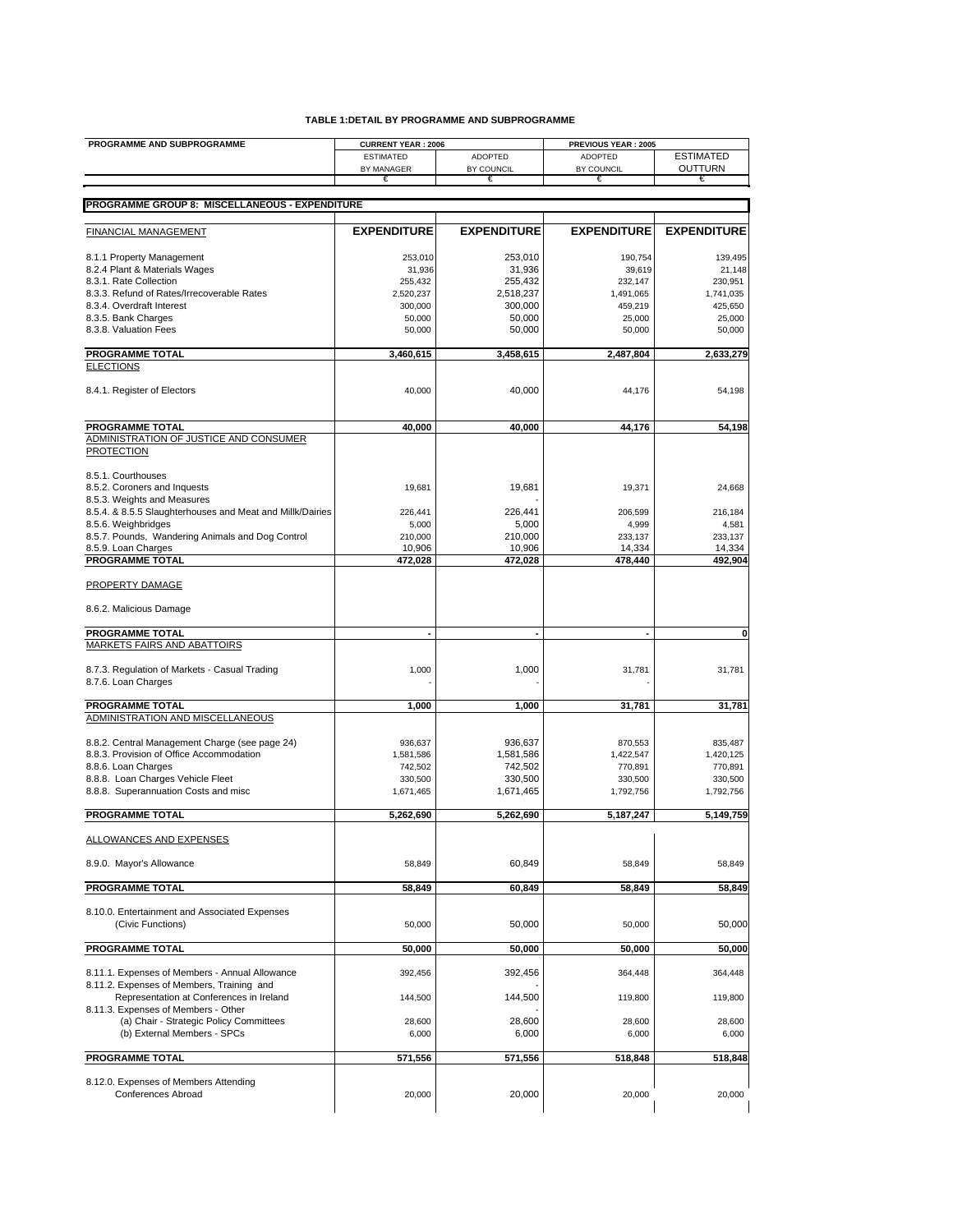| PROGRAMME AND SUBPROGRAMME                                                     | <b>CURRENT YEAR: 2006</b> |                    | PREVIOUS YEAR: 2005 |                    |  |
|--------------------------------------------------------------------------------|---------------------------|--------------------|---------------------|--------------------|--|
|                                                                                | <b>ESTIMATED</b>          | <b>ADOPTED</b>     | <b>ADOPTED</b>      | <b>ESTIMATED</b>   |  |
|                                                                                | BY MANAGER<br>€           | BY COUNCIL<br>€    | BY COUNCIL<br>€     | OUTTURN<br>€       |  |
|                                                                                |                           |                    |                     |                    |  |
| PROGRAMME GROUP 8: MISCELLANEOUS - EXPENDITURE                                 |                           |                    |                     |                    |  |
|                                                                                |                           |                    |                     |                    |  |
| FINANCIAL MANAGEMENT                                                           | <b>EXPENDITURE</b>        | <b>EXPENDITURE</b> | <b>EXPENDITURE</b>  | <b>EXPENDITURE</b> |  |
| 8.1.1 Property Management                                                      | 253,010                   | 253,010            | 190,754             | 139,495            |  |
| 8.2.4 Plant & Materials Wages                                                  | 31,936                    | 31,936             | 39,619              | 21,148             |  |
| 8.3.1. Rate Collection                                                         | 255,432                   | 255,432            | 232,147             | 230,951            |  |
| 8.3.3. Refund of Rates/Irrecoverable Rates                                     | 2,520,237                 | 2,518,237          | 1,491,065           | 1,741,035          |  |
| 8.3.4. Overdraft Interest                                                      | 300,000                   | 300,000            | 459,219             | 425,650            |  |
| 8.3.5. Bank Charges                                                            | 50,000                    | 50.000             | 25,000              | 25,000             |  |
| 8.3.8. Valuation Fees                                                          | 50,000                    | 50,000             | 50,000              | 50,000             |  |
| <b>PROGRAMME TOTAL</b>                                                         | 3,460,615                 | 3,458,615          | 2,487,804           | 2,633,279          |  |
| <b>ELECTIONS</b>                                                               |                           |                    |                     |                    |  |
| 8.4.1. Register of Electors                                                    | 40,000                    | 40,000             | 44,176              | 54,198             |  |
| <b>PROGRAMME TOTAL</b>                                                         | 40,000                    | 40,000             | 44,176              | 54,198             |  |
| ADMINISTRATION OF JUSTICE AND CONSUMER                                         |                           |                    |                     |                    |  |
| <b>PROTECTION</b>                                                              |                           |                    |                     |                    |  |
| 8.5.1. Courthouses                                                             |                           |                    |                     |                    |  |
| 8.5.2. Coroners and Inquests                                                   | 19,681                    | 19,681             | 19,371              | 24,668             |  |
| 8.5.3. Weights and Measures                                                    |                           |                    |                     |                    |  |
| 8.5.4. & 8.5.5 Slaughterhouses and Meat and Millk/Dairies                      | 226,441                   | 226,441            | 206,599             | 216,184            |  |
| 8.5.6. Weighbridges                                                            | 5,000                     | 5,000              | 4,999               | 4,581              |  |
| 8.5.7. Pounds, Wandering Animals and Dog Control                               | 210,000                   | 210,000            | 233,137             | 233,137            |  |
| 8.5.9. Loan Charges                                                            | 10,906                    | 10,906             | 14,334              | 14,334             |  |
| <b>PROGRAMME TOTAL</b>                                                         | 472,028                   | 472,028            | 478,440             | 492,904            |  |
| <b>PROPERTY DAMAGE</b>                                                         |                           |                    |                     |                    |  |
| 8.6.2. Malicious Damage                                                        |                           |                    |                     |                    |  |
| <b>PROGRAMME TOTAL</b>                                                         | ÷,                        | ٠                  | ٠                   | 0                  |  |
| <b>MARKETS FAIRS AND ABATTOIRS</b>                                             |                           |                    |                     |                    |  |
|                                                                                |                           |                    |                     |                    |  |
| 8.7.3. Regulation of Markets - Casual Trading<br>8.7.6. Loan Charges           | 1,000                     | 1,000              | 31,781              | 31,781             |  |
|                                                                                |                           |                    |                     |                    |  |
| <b>PROGRAMME TOTAL</b><br>ADMINISTRATION AND MISCELLANEOUS                     | 1,000                     | 1,000              | 31,781              | 31,781             |  |
|                                                                                |                           |                    |                     |                    |  |
| 8.8.2. Central Management Charge (see page 24)                                 | 936,637                   | 936.637            | 870,553             | 835,487            |  |
| 8.8.3. Provision of Office Accommodation                                       | 1,581,586                 | 1,581,586          | 1,422,547           | 1,420,125          |  |
| 8.8.6. Loan Charges                                                            | 742,502                   | 742,502            | 770,891             | 770,891            |  |
| 8.8.8. Loan Charges Vehicle Fleet                                              | 330,500                   | 330,500            | 330,500             | 330,500            |  |
| 8.8.8. Superannuation Costs and misc                                           | 1,671,465                 | 1,671,465          | 1,792,756           | 1,792,756          |  |
|                                                                                |                           |                    |                     |                    |  |
| <b>PROGRAMME TOTAL</b>                                                         | 5,262,690                 | 5,262,690          | 5,187,247           | 5,149,759          |  |
| <b>ALLOWANCES AND EXPENSES</b>                                                 |                           |                    |                     |                    |  |
| 8.9.0. Mayor's Allowance                                                       | 58,849                    | 60.849             | 58,849              | 58,849             |  |
| <b>PROGRAMME TOTAL</b>                                                         | 58,849                    | 60,849             | 58,849              | 58,849             |  |
|                                                                                |                           |                    |                     |                    |  |
| 8.10.0. Entertainment and Associated Expenses<br>(Civic Functions)             | 50,000                    | 50,000             | 50,000              | 50,000             |  |
|                                                                                |                           |                    |                     |                    |  |
| <b>PROGRAMME TOTAL</b>                                                         | 50,000                    | 50,000             | 50,000              | 50,000             |  |
| 8.11.1. Expenses of Members - Annual Allowance                                 | 392,456                   | 392,456            | 364,448             | 364,448            |  |
| 8.11.2. Expenses of Members, Training and                                      |                           |                    |                     |                    |  |
| Representation at Conferences in Ireland                                       | 144,500                   | 144,500            | 119,800             | 119,800            |  |
| 8.11.3. Expenses of Members - Other<br>(a) Chair - Strategic Policy Committees |                           |                    |                     |                    |  |
| (b) External Members - SPCs                                                    | 28,600                    | 28,600             | 28,600              | 28,600             |  |
|                                                                                | 6,000                     | 6,000              | 6,000               | 6,000              |  |
| <b>PROGRAMME TOTAL</b>                                                         | 571,556                   | 571,556            | 518,848             | 518,848            |  |
|                                                                                |                           |                    |                     |                    |  |
| 8.12.0. Expenses of Members Attending                                          |                           |                    |                     |                    |  |
| Conferences Abroad                                                             | 20,000                    | 20,000             | 20,000              | 20,000             |  |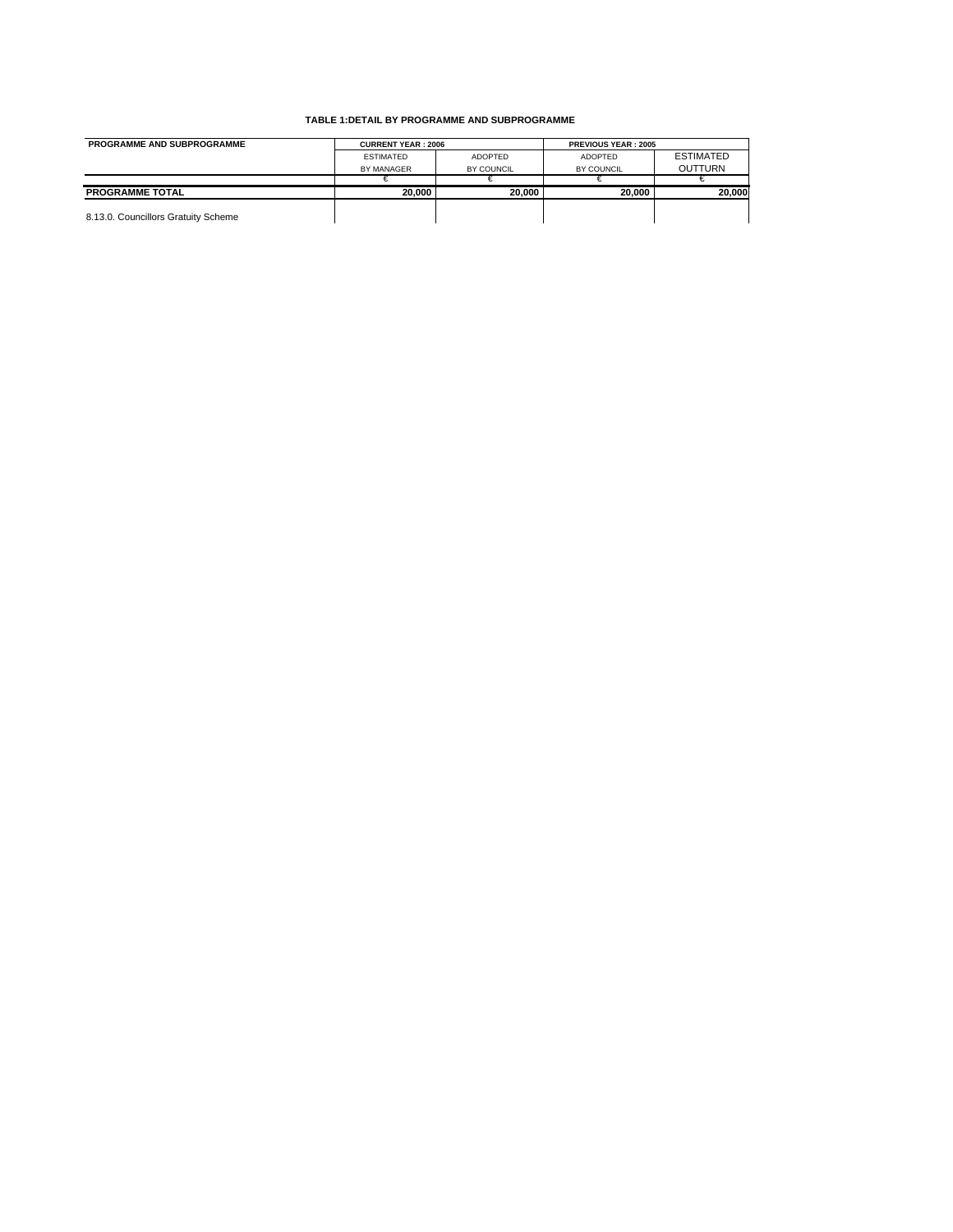| <b>PROGRAMME AND SUBPROGRAMME</b>   | <b>CURRENT YEAR: 2006</b> |                | <b>PREVIOUS YEAR: 2005</b> |                  |
|-------------------------------------|---------------------------|----------------|----------------------------|------------------|
|                                     | <b>ESTIMATED</b>          | <b>ADOPTED</b> | <b>ADOPTED</b>             | <b>ESTIMATED</b> |
|                                     | BY MANAGER                | BY COUNCIL     | BY COUNCIL                 | <b>OUTTURN</b>   |
|                                     |                           |                |                            |                  |
| <b>PROGRAMME TOTAL</b>              | 20.000                    | 20.000         | 20.000                     | 20.000           |
| 8.13.0. Councillors Gratuity Scheme |                           |                |                            |                  |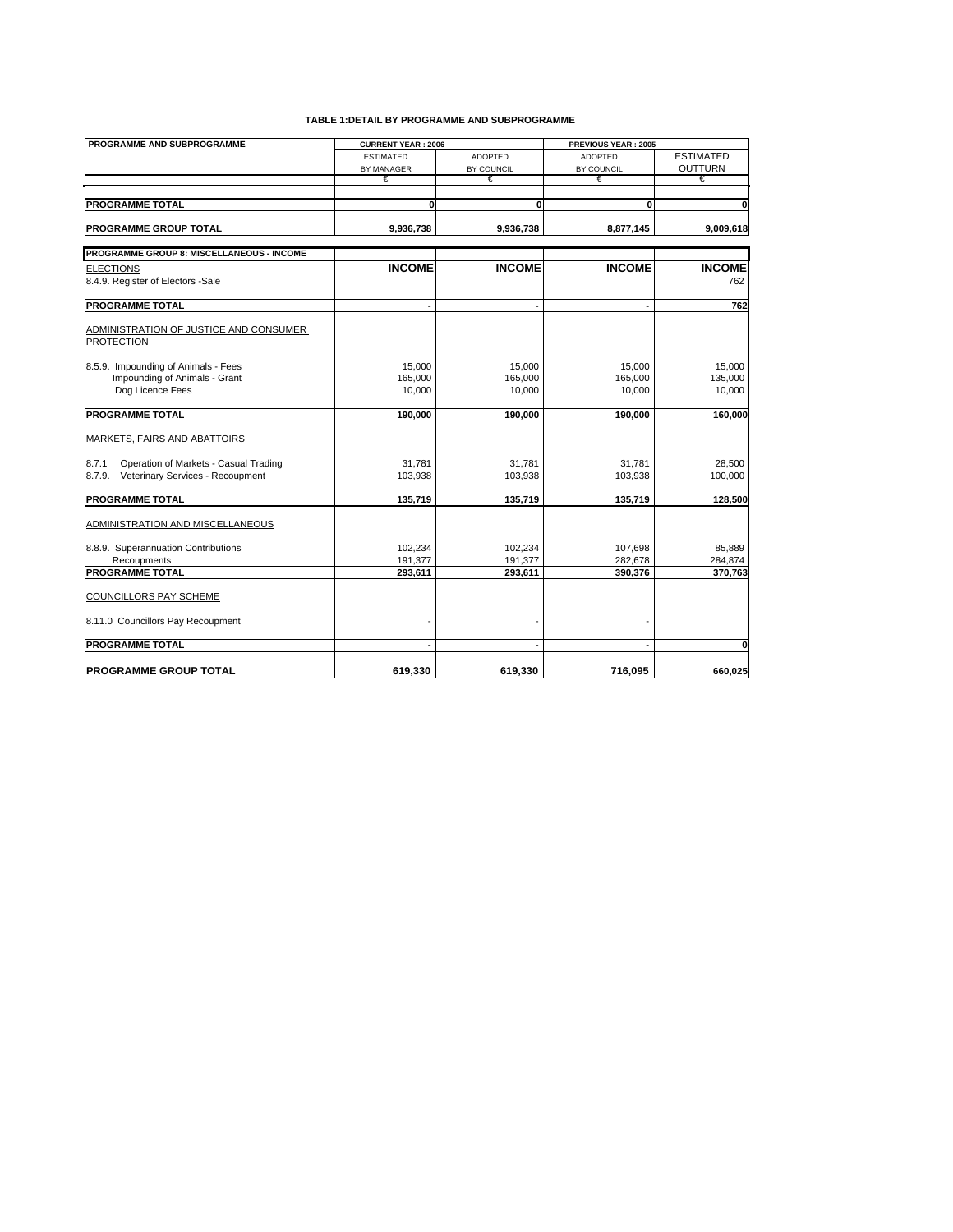| PROGRAMME AND SUBPROGRAMME                                  | <b>CURRENT YEAR: 2006</b> |                | PREVIOUS YEAR: 2005 |                  |
|-------------------------------------------------------------|---------------------------|----------------|---------------------|------------------|
|                                                             | <b>ESTIMATED</b>          | <b>ADOPTED</b> | <b>ADOPTED</b>      | <b>ESTIMATED</b> |
|                                                             | BY MANAGER                | BY COUNCIL     | BY COUNCIL          | <b>OUTTURN</b>   |
|                                                             | €                         | €              | €                   | €                |
|                                                             |                           |                |                     |                  |
| <b>PROGRAMME TOTAL</b>                                      | 0                         | 0              | 0                   | ō                |
| <b>PROGRAMME GROUP TOTAL</b>                                | 9,936,738                 | 9,936,738      | 8,877,145           | 9,009,618        |
|                                                             |                           |                |                     |                  |
| PROGRAMME GROUP 8: MISCELLANEOUS - INCOME                   |                           |                |                     |                  |
| <b>ELECTIONS</b>                                            | <b>INCOME</b>             | <b>INCOME</b>  | <b>INCOME</b>       | <b>INCOME</b>    |
| 8.4.9. Register of Electors -Sale                           |                           |                |                     | 762              |
|                                                             |                           |                |                     |                  |
| <b>PROGRAMME TOTAL</b>                                      | $\blacksquare$            |                | ٠                   | 762              |
|                                                             |                           |                |                     |                  |
| ADMINISTRATION OF JUSTICE AND CONSUMER<br><b>PROTECTION</b> |                           |                |                     |                  |
|                                                             |                           |                |                     |                  |
| 8.5.9. Impounding of Animals - Fees                         | 15.000                    | 15,000         | 15,000              | 15.000           |
| Impounding of Animals - Grant                               | 165,000                   | 165,000        | 165,000             | 135,000          |
| Dog Licence Fees                                            | 10,000                    | 10,000         | 10,000              | 10,000           |
|                                                             |                           |                |                     |                  |
| <b>PROGRAMME TOTAL</b>                                      | 190,000                   | 190,000        | 190,000             | 160,000          |
| <b>MARKETS, FAIRS AND ABATTOIRS</b>                         |                           |                |                     |                  |
|                                                             |                           |                |                     |                  |
| Operation of Markets - Casual Trading<br>8.7.1              | 31,781                    | 31,781         | 31,781              | 28,500           |
| Veterinary Services - Recoupment<br>8.7.9.                  | 103,938                   | 103,938        | 103,938             | 100,000          |
|                                                             |                           |                |                     |                  |
| <b>PROGRAMME TOTAL</b>                                      | 135,719                   | 135,719        | 135,719             | 128,500          |
| ADMINISTRATION AND MISCELLANEOUS                            |                           |                |                     |                  |
|                                                             |                           |                |                     |                  |
| 8.8.9. Superannuation Contributions                         | 102,234                   | 102,234        | 107,698             | 85,889           |
| Recoupments                                                 | 191,377                   | 191,377        | 282,678             | 284,874          |
| <b>PROGRAMME TOTAL</b>                                      | 293,611                   | 293,611        | 390,376             | 370,763          |
|                                                             |                           |                |                     |                  |
| <b>COUNCILLORS PAY SCHEME</b>                               |                           |                |                     |                  |
| 8.11.0 Councillors Pay Recoupment                           |                           |                |                     |                  |
|                                                             |                           |                |                     |                  |
| <b>PROGRAMME TOTAL</b>                                      |                           |                |                     | $\mathbf{0}$     |
|                                                             |                           |                |                     |                  |
| <b>PROGRAMME GROUP TOTAL</b>                                | 619.330                   | 619.330        | 716.095             | 660.025          |